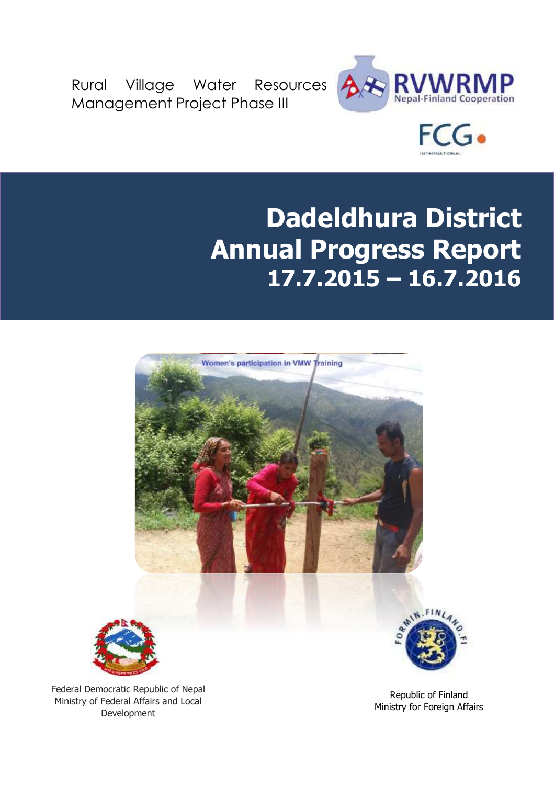Rural Village Water Resources Management Project Phase III





# **Dadeldhura District Annual Progress Report 17.7.2015 – 16.7.2016**



Republic of Finland Ministry for Foreign Affairs

Federal Democratic Republic of Nepal Ministry of Federal Affairs and Local Development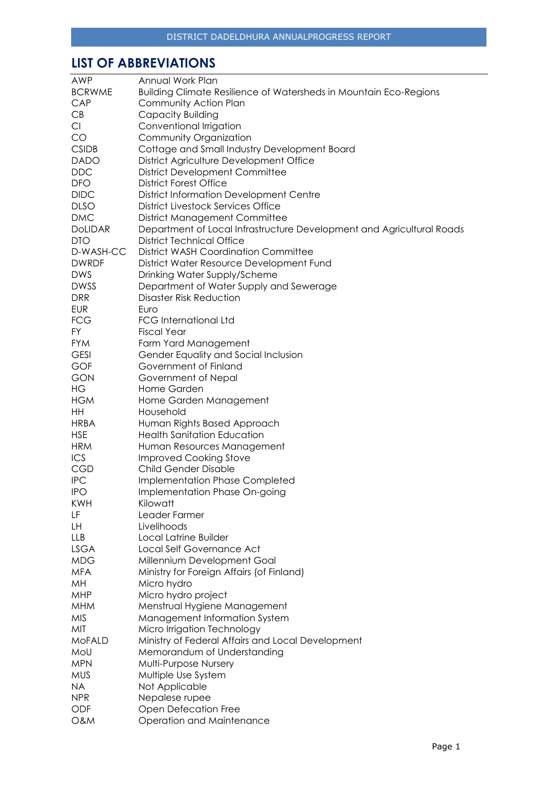# <span id="page-1-0"></span>**LIST OF ABBREVIATIONS**

| <b>AWP</b>     | Annual Work Plan                                                      |
|----------------|-----------------------------------------------------------------------|
| <b>BCRWME</b>  | Building Climate Resilience of Watersheds in Mountain Eco-Regions     |
| CAP            | Community Action Plan                                                 |
| CB             | Capacity Building                                                     |
| Cl             | Conventional Irrigation                                               |
| CO             | Community Organization                                                |
| <b>CSIDB</b>   | Cottage and Small Industry Development Board                          |
| <b>DADO</b>    | District Agriculture Development Office                               |
| <b>DDC</b>     | <b>District Development Committee</b>                                 |
| <b>DFO</b>     | <b>District Forest Office</b>                                         |
| <b>DIDC</b>    | <b>District Information Development Centre</b>                        |
| <b>DLSO</b>    | <b>District Livestock Services Office</b>                             |
| <b>DMC</b>     | <b>District Management Committee</b>                                  |
| <b>DOLIDAR</b> | Department of Local Infrastructure Development and Agricultural Roads |
| <b>DTO</b>     | <b>District Technical Office</b>                                      |
| D-WASH-CC      | <b>District WASH Coordination Committee</b>                           |
| <b>DWRDF</b>   |                                                                       |
|                | District Water Resource Development Fund                              |
| <b>DWS</b>     | Drinking Water Supply/Scheme                                          |
| <b>DWSS</b>    | Department of Water Supply and Sewerage                               |
| <b>DRR</b>     | <b>Disaster Risk Reduction</b>                                        |
| <b>EUR</b>     | Euro                                                                  |
| <b>FCG</b>     | <b>FCG International Ltd</b>                                          |
| <b>FY</b>      | <b>Fiscal Year</b>                                                    |
| <b>FYM</b>     | Farm Yard Management                                                  |
| <b>GESI</b>    | Gender Equality and Social Inclusion                                  |
| <b>GOF</b>     | Government of Finland                                                 |
| <b>GON</b>     | Government of Nepal                                                   |
| HG             | Home Garden                                                           |
| <b>HGM</b>     | Home Garden Management                                                |
| HH             | Household                                                             |
| <b>HRBA</b>    | Human Rights Based Approach                                           |
| <b>HSE</b>     | <b>Health Sanitation Education</b>                                    |
| <b>HRM</b>     | Human Resources Management                                            |
| ICS            | <b>Improved Cooking Stove</b>                                         |
| <b>CGD</b>     | Child Gender Disable                                                  |
| <b>IPC</b>     | Implementation Phase Completed                                        |
| <b>IPO</b>     | Implementation Phase On-going                                         |
| KWH            | Kilowatt                                                              |
| LF             | Leader Farmer                                                         |
| LH             | Livelihoods                                                           |
| <b>LLB</b>     | Local Latrine Builder                                                 |
| <b>LSGA</b>    | Local Self Governance Act                                             |
| <b>MDG</b>     | Millennium Development Goal                                           |
| <b>MFA</b>     | Ministry for Foreign Affairs (of Finland)                             |
| MH             | Micro hydro                                                           |
| <b>MHP</b>     | Micro hydro project                                                   |
| <b>MHM</b>     | Menstrual Hygiene Management                                          |
| <b>MIS</b>     | Management Information System                                         |
| MIT            | Micro Irrigation Technology                                           |
| <b>MoFALD</b>  | Ministry of Federal Affairs and Local Development                     |
| MoU            | Memorandum of Understanding                                           |
| <b>MPN</b>     | Multi-Purpose Nursery                                                 |
|                |                                                                       |
| <b>MUS</b>     | Multiple Use System                                                   |
| <b>NA</b>      | Not Applicable                                                        |
| <b>NPR</b>     | Nepalese rupee                                                        |
| ODF            | Open Defecation Free                                                  |
| <b>O&amp;M</b> | Operation and Maintenance                                             |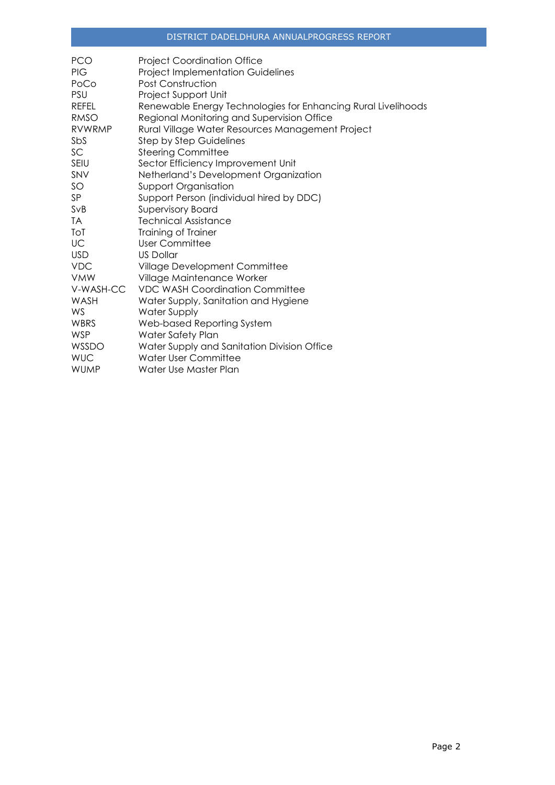| <b>PCO</b>    | <b>Project Coordination Office</b>                            |
|---------------|---------------------------------------------------------------|
| <b>PIG</b>    | <b>Project Implementation Guidelines</b>                      |
| PoCo          | <b>Post Construction</b>                                      |
| <b>PSU</b>    | Project Support Unit                                          |
| <b>REFEL</b>  | Renewable Energy Technologies for Enhancing Rural Livelihoods |
| <b>RMSO</b>   | Regional Monitoring and Supervision Office                    |
| <b>RVWRMP</b> | Rural Village Water Resources Management Project              |
| SbS           | <b>Step by Step Guidelines</b>                                |
| SC            | <b>Steering Committee</b>                                     |
| <b>SEIU</b>   | Sector Efficiency Improvement Unit                            |
| SNV           | Netherland's Development Organization                         |
| SO            | <b>Support Organisation</b>                                   |
| SP            | Support Person (individual hired by DDC)                      |
| SvB           | <b>Supervisory Board</b>                                      |
| TA            | <b>Technical Assistance</b>                                   |
| ToT           | Training of Trainer                                           |
| UC            | User Committee                                                |
| <b>USD</b>    | <b>US Dollar</b>                                              |
| <b>VDC</b>    | Village Development Committee                                 |
| <b>VMW</b>    | Village Maintenance Worker                                    |
| V-WASH-CC     | <b>VDC WASH Coordination Committee</b>                        |
| WASH          | Water Supply, Sanitation and Hygiene                          |
| WS            | Water Supply                                                  |
| WBRS          | Web-based Reporting System                                    |
| <b>WSP</b>    | Water Safety Plan                                             |
| WSSDO         | Water Supply and Sanitation Division Office                   |
| <b>WUC</b>    | Water User Committee                                          |
| <b>WUMP</b>   | Water Use Master Plan                                         |
|               |                                                               |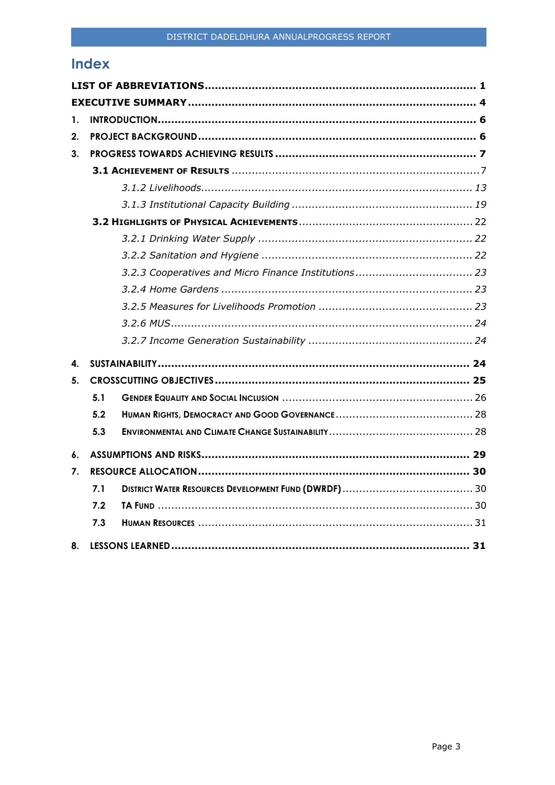# **Index**

| 1.             |     |  |
|----------------|-----|--|
| 2.             |     |  |
| 3 <sub>1</sub> |     |  |
|                |     |  |
|                |     |  |
|                |     |  |
|                |     |  |
|                |     |  |
|                |     |  |
|                |     |  |
|                |     |  |
|                |     |  |
|                |     |  |
|                |     |  |
| 4.             |     |  |
| 5.             |     |  |
|                | 5.1 |  |
|                | 5.2 |  |
|                | 5.3 |  |
| 6.             |     |  |
| 7.             |     |  |
|                | 7.1 |  |
|                | 7.2 |  |
|                | 7.3 |  |
| 8.             |     |  |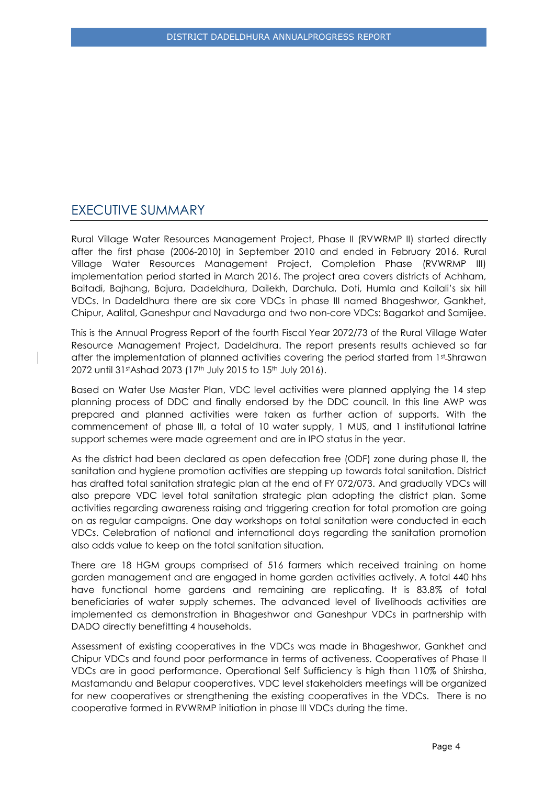# <span id="page-4-0"></span>EXECUTIVE SUMMARY

Rural Village Water Resources Management Project, Phase II (RVWRMP II) started directly after the first phase (2006-2010) in September 2010 and ended in February 2016. Rural Village Water Resources Management Project, Completion Phase (RVWRMP III) implementation period started in March 2016. The project area covers districts of Achham, Baitadi, Bajhang, Bajura, Dadeldhura, Dailekh, Darchula, Doti, Humla and Kailali's six hill VDCs. In Dadeldhura there are six core VDCs in phase III named Bhageshwor, Gankhet, Chipur, Aalital, Ganeshpur and Navadurga and two non-core VDCs: Bagarkot and Samijee.

This is the Annual Progress Report of the fourth Fiscal Year 2072/73 of the Rural Village Water Resource Management Project, Dadeldhura. The report presents results achieved so far after the implementation of planned activities covering the period started from 1st Shrawan 2072 until 31st Ashad 2073 (17th July 2015 to 15th July 2016).

Based on Water Use Master Plan, VDC level activities were planned applying the 14 step planning process of DDC and finally endorsed by the DDC council. In this line AWP was prepared and planned activities were taken as further action of supports. With the commencement of phase III, a total of 10 water supply, 1 MUS, and 1 institutional latrine support schemes were made agreement and are in IPO status in the year.

As the district had been declared as open defecation free (ODF) zone during phase II, the sanitation and hygiene promotion activities are stepping up towards total sanitation. District has drafted total sanitation strategic plan at the end of FY 072/073. And gradually VDCs will also prepare VDC level total sanitation strategic plan adopting the district plan. Some activities regarding awareness raising and triggering creation for total promotion are going on as regular campaigns. One day workshops on total sanitation were conducted in each VDCs. Celebration of national and international days regarding the sanitation promotion also adds value to keep on the total sanitation situation.

There are 18 HGM groups comprised of 516 farmers which received training on home garden management and are engaged in home garden activities actively. A total 440 hhs have functional home gardens and remaining are replicating. It is 83.8% of total beneficiaries of water supply schemes. The advanced level of livelihoods activities are implemented as demonstration in Bhageshwor and Ganeshpur VDCs in partnership with DADO directly benefitting 4 households.

Assessment of existing cooperatives in the VDCs was made in Bhageshwor, Gankhet and Chipur VDCs and found poor performance in terms of activeness. Cooperatives of Phase II VDCs are in good performance. Operational Self Sufficiency is high than 110% of Shirsha, Mastamandu and Belapur cooperatives. VDC level stakeholders meetings will be organized for new cooperatives or strengthening the existing cooperatives in the VDCs. There is no cooperative formed in RVWRMP initiation in phase III VDCs during the time.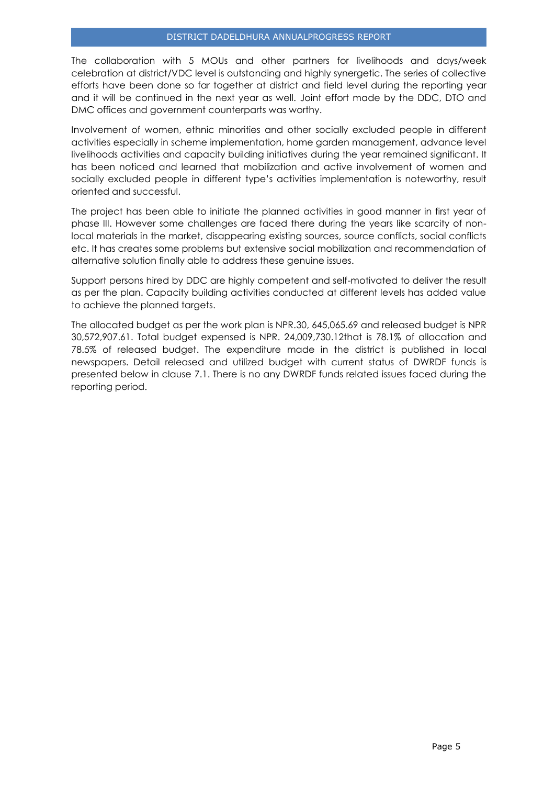The collaboration with 5 MOUs and other partners for livelihoods and days/week celebration at district/VDC level is outstanding and highly synergetic. The series of collective efforts have been done so far together at district and field level during the reporting year and it will be continued in the next year as well. Joint effort made by the DDC, DTO and DMC offices and government counterparts was worthy.

Involvement of women, ethnic minorities and other socially excluded people in different activities especially in scheme implementation, home garden management, advance level livelihoods activities and capacity building initiatives during the year remained significant. It has been noticed and learned that mobilization and active involvement of women and socially excluded people in different type's activities implementation is noteworthy, result oriented and successful.

The project has been able to initiate the planned activities in good manner in first year of phase III. However some challenges are faced there during the years like scarcity of nonlocal materials in the market, disappearing existing sources, source conflicts, social conflicts etc. It has creates some problems but extensive social mobilization and recommendation of alternative solution finally able to address these genuine issues.

Support persons hired by DDC are highly competent and self-motivated to deliver the result as per the plan. Capacity building activities conducted at different levels has added value to achieve the planned targets.

The allocated budget as per the work plan is NPR.30, 645,065.69 and released budget is NPR 30,572,907.61. Total budget expensed is NPR. 24,009,730.12that is 78.1% of allocation and 78.5% of released budget. The expenditure made in the district is published in local newspapers. Detail released and utilized budget with current status of DWRDF funds is presented below in clause 7.1. There is no any DWRDF funds related issues faced during the reporting period.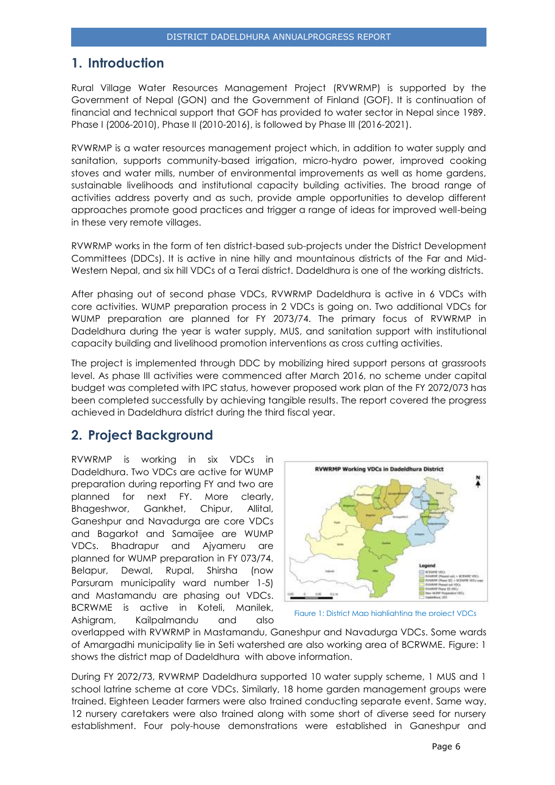# <span id="page-6-0"></span>**1. Introduction**

Rural Village Water Resources Management Project (RVWRMP) is supported by the Government of Nepal (GON) and the Government of Finland (GOF). It is continuation of financial and technical support that GOF has provided to water sector in Nepal since 1989. Phase I (2006-2010), Phase II (2010-2016), is followed by Phase III (2016-2021).

RVWRMP is a water resources management project which, in addition to water supply and sanitation, supports community-based irrigation, micro-hydro power, improved cooking stoves and water mills, number of environmental improvements as well as home gardens, sustainable livelihoods and institutional capacity building activities. The broad range of activities address poverty and as such, provide ample opportunities to develop different approaches promote good practices and trigger a range of ideas for improved well-being in these very remote villages.

RVWRMP works in the form of ten district-based sub-projects under the District Development Committees (DDCs). It is active in nine hilly and mountainous districts of the Far and Mid-Western Nepal, and six hill VDCs of a Terai district. Dadeldhura is one of the working districts.

After phasing out of second phase VDCs, RVWRMP Dadeldhura is active in 6 VDCs with core activities. WUMP preparation process in 2 VDCs is going on. Two additional VDCs for WUMP preparation are planned for FY 2073/74. The primary focus of RVWRMP in Dadeldhura during the year is water supply, MUS, and sanitation support with institutional capacity building and livelihood promotion interventions as cross cutting activities.

The project is implemented through DDC by mobilizing hired support persons at grassroots level. As phase III activities were commenced after March 2016, no scheme under capital budget was completed with IPC status, however proposed work plan of the FY 2072/073 has been completed successfully by achieving tangible results. The report covered the progress achieved in Dadeldhura district during the third fiscal year.

# <span id="page-6-1"></span>**2. Project Background**

RVWRMP is working in six VDCs in Dadeldhura. Two VDCs are active for WUMP preparation during reporting FY and two are planned for next FY. More clearly, Bhageshwor, Gankhet, Chipur, Allital, Ganeshpur and Navadurga are core VDCs and Bagarkot and Samaijee are WUMP VDCs. Bhadrapur and Ajyameru are planned for WUMP preparation in FY 073/74. Belapur, Dewal, Rupal, Shirsha (now Parsuram municipality ward number 1-5) and Mastamandu are phasing out VDCs. BCRWME is active in Koteli, Manilek, Ashigram, Kailpalmandu and also





overlapped with RVWRMP in Mastamandu, Ganeshpur and Navadurga VDCs. Some wards of Amargadhi municipality lie in Seti watershed are also working area of BCRWME. Figure: 1 shows the district map of Dadeldhura with above information.

During FY 2072/73, RVWRMP Dadeldhura supported 10 water supply scheme, 1 MUS and 1 school latrine scheme at core VDCs. Similarly, 18 home garden management groups were trained. Eighteen Leader farmers were also trained conducting separate event. Same way, 12 nursery caretakers were also trained along with some short of diverse seed for nursery establishment. Four poly-house demonstrations were established in Ganeshpur and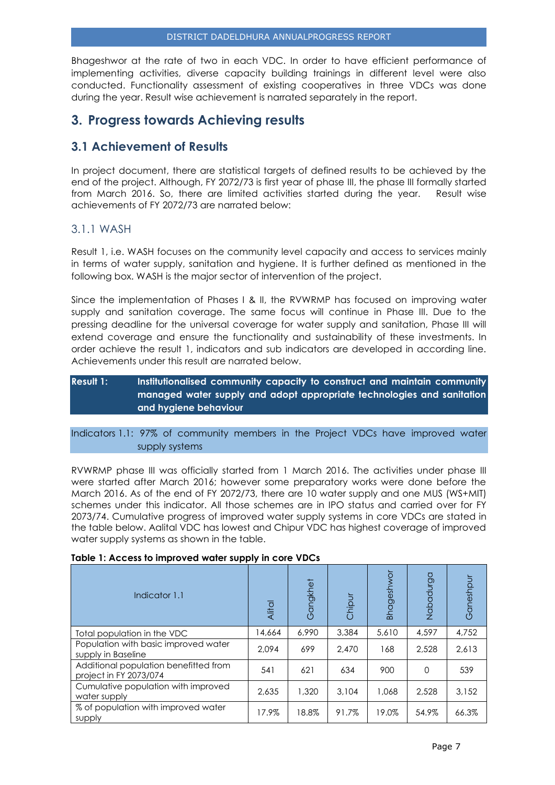Bhageshwor at the rate of two in each VDC. In order to have efficient performance of implementing activities, diverse capacity building trainings in different level were also conducted. Functionality assessment of existing cooperatives in three VDCs was done during the year. Result wise achievement is narrated separately in the report.

# <span id="page-7-0"></span>**3. Progress towards Achieving results**

# <span id="page-7-1"></span>**3.1 Achievement of Results**

In project document, there are statistical targets of defined results to be achieved by the end of the project. Although, FY 2072/73 is first year of phase III, the phase III formally started from March 2016. So, there are limited activities started during the year. Result wise achievements of FY 2072/73 are narrated below:

# 3.1.1 WASH

Result 1, i.e. WASH focuses on the community level capacity and access to services mainly in terms of water supply, sanitation and hygiene. It is further defined as mentioned in the following box. WASH is the major sector of intervention of the project.

Since the implementation of Phases I & II, the RVWRMP has focused on improving water supply and sanitation coverage. The same focus will continue in Phase III. Due to the pressing deadline for the universal coverage for water supply and sanitation, Phase III will extend coverage and ensure the functionality and sustainability of these investments. In order achieve the result 1, indicators and sub indicators are developed in according line. Achievements under this result are narrated below.

# **Result 1: Institutionalised community capacity to construct and maintain community managed water supply and adopt appropriate technologies and sanitation and hygiene behaviour**

## Indicators 1.1: 97% of community members in the Project VDCs have improved water supply systems

RVWRMP phase III was officially started from 1 March 2016. The activities under phase III were started after March 2016; however some preparatory works were done before the March 2016. As of the end of FY 2072/73, there are 10 water supply and one MUS (WS+MIT) schemes under this indicator. All those schemes are in IPO status and carried over for FY 2073/74. Cumulative progress of improved water supply systems in core VDCs are stated in the table below. Aalital VDC has lowest and Chipur VDC has highest coverage of improved water supply systems as shown in the table.

| Indicator 1.1                                                   | Alital | Gangkhet | Chipur | <b>Bhageshwor</b> | Nabadurga | Ganeshpur |
|-----------------------------------------------------------------|--------|----------|--------|-------------------|-----------|-----------|
| Total population in the VDC                                     | 14,664 | 6.990    | 3,384  | 5,610             | 4,597     | 4,752     |
| Population with basic improved water<br>supply in Baseline      | 2.094  | 699      | 2.470  | 168               | 2.528     | 2.613     |
| Additional population benefitted from<br>project in FY 2073/074 | 541    | 621      | 634    | 900               | $\Omega$  | 539       |
| Cumulative population with improved<br>water supply             | 2.635  | 1,320    | 3,104  | 1.068             | 2.528     | 3.152     |
| % of population with improved water<br>supply                   | 17.9%  | 18.8%    | 91.7%  | 19.0%             | 54.9%     | 66.3%     |

#### **Table 1: Access to improved water supply in core VDCs**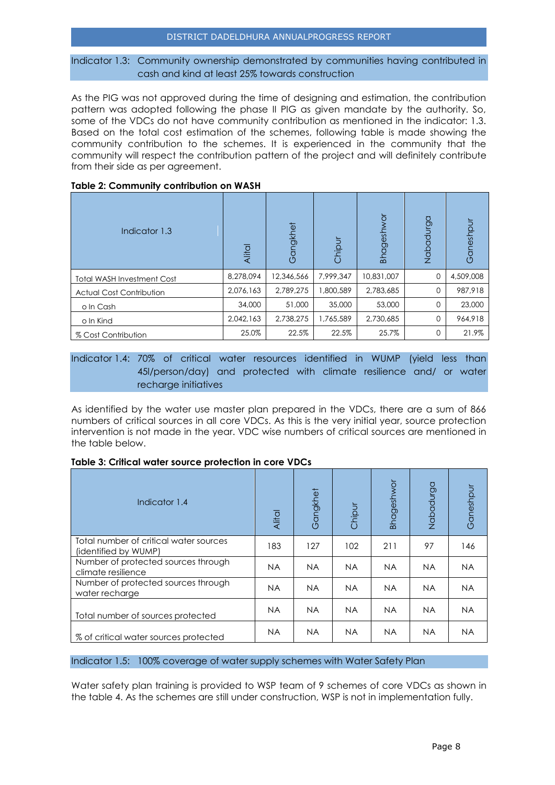#### DISTRICT DADELDHURA ANNUALPROGRESS REPORT

#### Indicator 1.3: Community ownership demonstrated by communities having contributed in cash and kind at least 25% towards construction

As the PIG was not approved during the time of designing and estimation, the contribution pattern was adopted following the phase II PIG as given mandate by the authority. So, some of the VDCs do not have community contribution as mentioned in the indicator: 1.3. Based on the total cost estimation of the schemes, following table is made showing the community contribution to the schemes. It is experienced in the community that the community will respect the contribution pattern of the project and will definitely contribute from their side as per agreement.

| Indicator 1.3                     | Alital    | Gangkhet   | Chipur    | Bhageshwor | Nabadurga | Ganeshpur |
|-----------------------------------|-----------|------------|-----------|------------|-----------|-----------|
| <b>Total WASH Investment Cost</b> | 8,278,094 | 12,346,566 | 7,999,347 | 10,831,007 | 0         | 4,509,008 |
| <b>Actual Cost Contribution</b>   | 2,076,163 | 2,789,275  | 1,800,589 | 2,783,685  | 0         | 987.918   |
| o In Cash                         | 34,000    | 51,000     | 35,000    | 53,000     | $\Omega$  | 23,000    |
| o In Kind                         | 2.042.163 | 2,738,275  | 1,765,589 | 2,730,685  | $\Omega$  | 964,918   |
| % Cost Contribution               | 25.0%     | 22.5%      | 22.5%     | 25.7%      | 0         | 21.9%     |

#### **Table 2: Community contribution on WASH**

## Indicator 1.4: 70% of critical water resources identified in WUMP (yield less than 45l/person/day) and protected with climate resilience and/ or water recharge initiatives

As identified by the water use master plan prepared in the VDCs, there are a sum of 866 numbers of critical sources in all core VDCs. As this is the very initial year, source protection intervention is not made in the year. VDC wise numbers of critical sources are mentioned in the table below.

#### **Table 3: Critical water source protection in core VDCs**

| Indicator 1.4                                                  | Alital    | Gangkhet  | Chipur    | Bhageshwor | Nabadurga | Ganeshpur |
|----------------------------------------------------------------|-----------|-----------|-----------|------------|-----------|-----------|
| Total number of critical water sources<br>(identified by WUMP) | 183       | 127       | 102       | 211        | 97        | 146       |
| Number of protected sources through<br>climate resilience      | <b>NA</b> | <b>NA</b> | <b>NA</b> | <b>NA</b>  | <b>NA</b> | <b>NA</b> |
| Number of protected sources through<br>water recharge          | <b>NA</b> | <b>NA</b> | <b>NA</b> | <b>NA</b>  | <b>NA</b> | <b>NA</b> |
| Total number of sources protected                              | <b>NA</b> | <b>NA</b> | <b>NA</b> | <b>NA</b>  | <b>NA</b> | <b>NA</b> |
| % of critical water sources protected                          | <b>NA</b> | <b>NA</b> | <b>NA</b> | <b>NA</b>  | <b>NA</b> | <b>NA</b> |

#### Indicator 1.5: 100% coverage of water supply schemes with Water Safety Plan

Water safety plan training is provided to WSP team of 9 schemes of core VDCs as shown in the table 4. As the schemes are still under construction, WSP is not in implementation fully.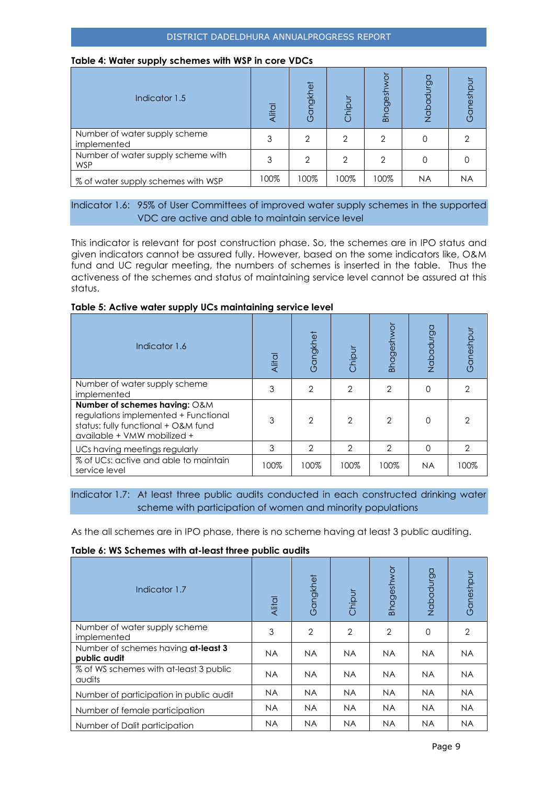#### **Table 4: Water supply schemes with WSP in core VDCs**

| Indicator 1.5                                    | Alital | ngkhet<br>$\mathfrak{g}$ | Chipur | <b>Bhagesh</b> | Nabadurga | Ganeshpu |
|--------------------------------------------------|--------|--------------------------|--------|----------------|-----------|----------|
| Number of water supply scheme<br>implemented     |        | 2                        | 2      | 2              |           |          |
| Number of water supply scheme with<br><b>WSP</b> | 3      | 2                        | 2      | 2              |           |          |
| % of water supply schemes with WSP               | 100%   | 100%                     | 100%   | 100%           | <b>NA</b> | NA       |

## Indicator 1.6: 95% of User Committees of improved water supply schemes in the supported VDC are active and able to maintain service level

This indicator is relevant for post construction phase. So, the schemes are in IPO status and given indicators cannot be assured fully. However, based on the some indicators like, O&M fund and UC regular meeting, the numbers of schemes is inserted in the table. Thus the activeness of the schemes and status of maintaining service level cannot be assured at this status.

#### **Table 5: Active water supply UCs maintaining service level**

| Indicator 1.6                                                                                                                               | Alital | Gangkhet      | Chipur        | <b>Bhageshwor</b> | Nabadurga | Ganeshpu |
|---------------------------------------------------------------------------------------------------------------------------------------------|--------|---------------|---------------|-------------------|-----------|----------|
| Number of water supply scheme<br>implemented                                                                                                | 3      | $\mathcal{P}$ | 2             | 2                 | 0         |          |
| Number of schemes having: O&M<br>regulations implemented + Functional<br>status: fully functional + O&M fund<br>available + VMW mobilized + | 3      | $\mathcal{D}$ | 2             | $\mathcal{P}$     | 0         |          |
| UCs having meetings regularly                                                                                                               | 3      | $\mathcal{P}$ | $\mathcal{P}$ | $\mathcal{P}$     | 0         | 2        |
| % of UCs: active and able to maintain<br>service level                                                                                      | 100%   | 100%          | 100%          | 100%              | <b>NA</b> | 100%     |

Indicator 1.7: At least three public audits conducted in each constructed drinking water scheme with participation of women and minority populations

As the all schemes are in IPO phase, there is no scheme having at least 3 public auditing.

#### **Table 6: WS Schemes with at-least three public audits**

| Indicator 1.7                                       | Alital    | Gangkhet       | Chipur         | Bhageshwor     | Nabadurga | Ganeshpur |
|-----------------------------------------------------|-----------|----------------|----------------|----------------|-----------|-----------|
| Number of water supply scheme<br>implemented        | 3         | $\overline{2}$ | $\overline{2}$ | $\overline{2}$ | 0         | 2         |
| Number of schemes having at-least 3<br>public audit | <b>NA</b> | <b>NA</b>      | <b>NA</b>      | <b>NA</b>      | <b>NA</b> | <b>NA</b> |
| % of WS schemes with at-least 3 public<br>audits    | <b>NA</b> | <b>NA</b>      | <b>NA</b>      | <b>NA</b>      | <b>NA</b> | <b>NA</b> |
| Number of participation in public audit             | <b>NA</b> | <b>NA</b>      | <b>NA</b>      | <b>NA</b>      | <b>NA</b> | <b>NA</b> |
| Number of female participation                      | <b>NA</b> | <b>NA</b>      | <b>NA</b>      | <b>NA</b>      | <b>NA</b> | <b>NA</b> |
| Number of Dalit participation                       | <b>NA</b> | <b>NA</b>      | <b>NA</b>      | <b>NA</b>      | <b>NA</b> | <b>NA</b> |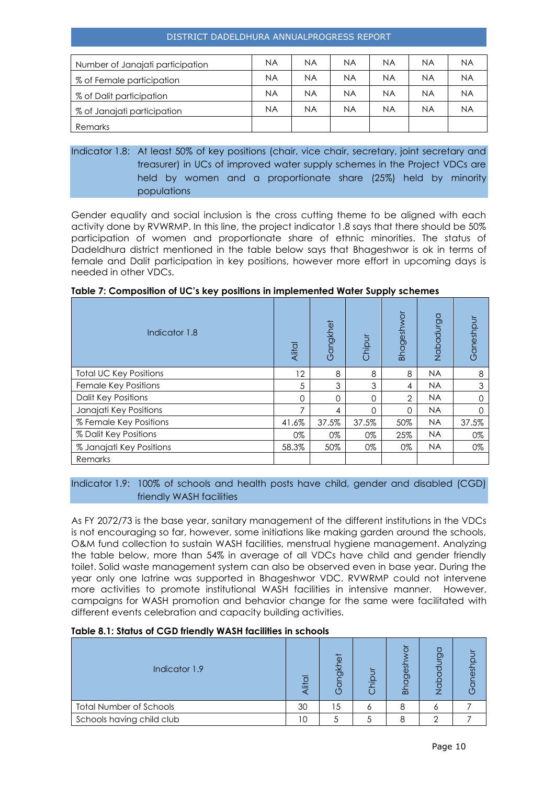#### DISTRICT DADELDHURA ANNUALPROGRESS REPORT

| Number of Janajati participation | <b>NA</b> | ΝA        | ΝA        | ΝA | <b>NA</b> | <b>NA</b> |
|----------------------------------|-----------|-----------|-----------|----|-----------|-----------|
| % of Female participation        | <b>NA</b> | ΝA        | ΝA        | ΝA | <b>NA</b> | <b>NA</b> |
| % of Dalit participation         | <b>NA</b> | ΝA        | ΝA        | ΝA | <b>NA</b> | <b>NA</b> |
| % of Janajati participation      | <b>NA</b> | <b>NA</b> | <b>NA</b> | ΝA | <b>NA</b> | <b>NA</b> |
| <b>Remarks</b>                   |           |           |           |    |           |           |

# Indicator 1.8: At least 50% of key positions (chair, vice chair, secretary, joint secretary and treasurer) in UCs of improved water supply schemes in the Project VDCs are held by women and a proportionate share (25%) held by minority populations

Gender equality and social inclusion is the cross cutting theme to be aligned with each activity done by RVWRMP. In this line, the project indicator 1.8 says that there should be 50% participation of women and proportionate share of ethnic minorities. The status of Dadeldhura district mentioned in the table below says that Bhageshwor is ok in terms of female and Dalit participation in key positions, however more effort in upcoming days is needed in other VDCs.

| Indicator 1.8                 | Alital | Gangkhet | Chipur | Bhageshwor     | Nabadurga | Ganeshpur |
|-------------------------------|--------|----------|--------|----------------|-----------|-----------|
| <b>Total UC Key Positions</b> | 12     | 8        | 8      | 8              | <b>NA</b> | 8         |
| Female Key Positions          | 5      | 3        | 3      | 4              | <b>NA</b> | 3         |
| <b>Dalit Key Positions</b>    | ∩      | 0        | 0      | $\overline{2}$ | <b>NA</b> | U         |
| Janajati Key Positions        |        | 4        | 0      | $\Omega$       | <b>NA</b> | U         |
| % Female Key Positions        | 41.6%  | 37.5%    | 37.5%  | 50%            | <b>NA</b> | 37.5%     |
| % Dalit Key Positions         | 0%     | 0%       | 0%     | 25%            | <b>NA</b> | 0%        |
| % Janajati Key Positions      | 58.3%  | 50%      | 0%     | 0%             | <b>NA</b> | 0%        |
| Remarks                       |        |          |        |                |           |           |

#### Indicator 1.9: 100% of schools and health posts have child, gender and disabled (CGD) friendly WASH facilities

As FY 2072/73 is the base year, sanitary management of the different institutions in the VDCs is not encouraging so far, however, some initiations like making garden around the schools, O&M fund collection to sustain WASH facilities, menstrual hygiene management. Analyzing the table below, more than 54% in average of all VDCs have child and gender friendly toilet. Solid waste management system can also be observed even in base year. During the year only one latrine was supported in Bhageshwor VDC. RVWRMP could not intervene more activities to promote institutional WASH facilities in intensive manner. However, campaigns for WASH promotion and behavior change for the same were facilitated with different events celebration and capacity building activities.

#### **Table 8.1: Status of CGD friendly WASH facilities in schools**

| Indicator 1.9                  | 兰  | 芯<br>ಠಾ<br>י י | ≡ | $\overline{5}$<br>⊙<br>$\overline{a}$ | ටා | έğ<br>ח י |
|--------------------------------|----|----------------|---|---------------------------------------|----|-----------|
| <b>Total Number of Schools</b> | 30 | 5              |   |                                       |    |           |
| Schools having child club      | 10 |                |   |                                       |    |           |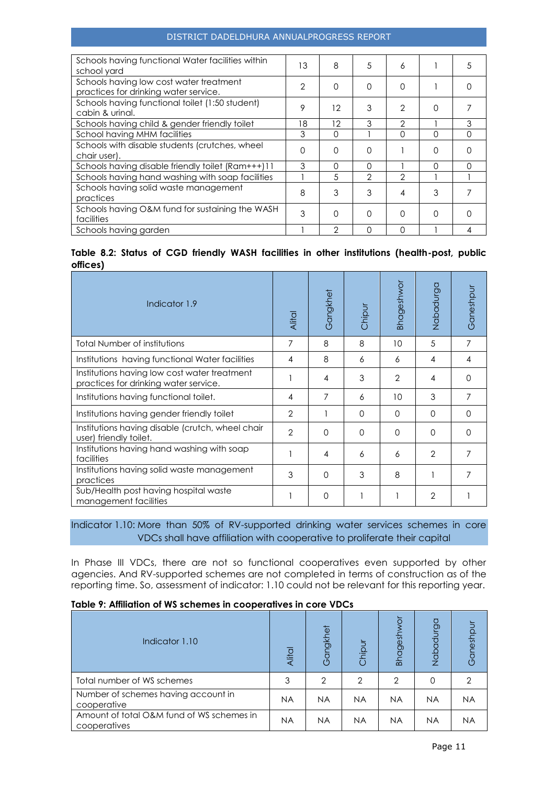#### DISTRICT DADELDHURA ANNUALPROGRESS REPORT

| Schools having functional Water facilities within<br>school yard                 | 13 | 8        | 5             | 6             |          | .5 |
|----------------------------------------------------------------------------------|----|----------|---------------|---------------|----------|----|
| Schools having low cost water treatment<br>practices for drinking water service. | 2  | $\Omega$ | $\Omega$      | $\Omega$      |          |    |
| Schools having functional toilet (1:50 student)<br>cabin & urinal.               | 9  | 12       | 3             | 2             | 0        |    |
| Schools having child & gender friendly toilet                                    | 18 | 12       | 3             | $\mathcal{P}$ |          |    |
| School having MHM facilities                                                     | 3  | O        |               | ∩             | O        | ∩  |
| Schools with disable students (crutches, wheel<br>chair user).                   | 0  | $\Omega$ | $\Omega$      |               | $\Omega$ |    |
| Schools having disable friendly toilet (Ram+++)11                                | 3  | O        | O             |               | ∩        | ∩  |
| Schools having hand washing with soap facilities                                 |    | .5       | $\mathcal{P}$ | $\mathcal{P}$ |          |    |
| Schools having solid waste management<br>practices                               | 8  | 3        | 3             | 4             | 3        |    |
| Schools having O&M fund for sustaining the WASH<br>facilities                    | 3  | ∩        | $\Omega$      | $\Omega$      | O        |    |
| Schools having garden                                                            |    | 2        | $\Omega$      | ∩             |          |    |

## **Table 8.2: Status of CGD friendly WASH facilities in other institutions (health-post, public offices)**

| Indicator 1.9                                                                         | Alital         | Gangkhet | Chipur   | <b>Bhageshwor</b> | Nabadurga      | Ganeshpu |
|---------------------------------------------------------------------------------------|----------------|----------|----------|-------------------|----------------|----------|
| Total Number of institutions                                                          | 7              | 8        | 8        | 10                | 5              | 7        |
| Institutions having functional Water facilities                                       | 4              | 8        | 6        | 6                 | 4              | 4        |
| Institutions having low cost water treatment<br>practices for drinking water service. |                | 4        | 3        | $\mathcal{P}$     | 4              | O        |
| Institutions having functional toilet.                                                | 4              | 7        | 6        | 10                | 3              | 7        |
| Institutions having gender friendly toilet                                            | $\overline{2}$ |          | $\Omega$ | O                 | $\Omega$       | 0        |
| Institutions having disable (crutch, wheel chair<br>user) friendly toilet.            | $\overline{2}$ | $\Omega$ | $\Omega$ | $\Omega$          | $\Omega$       | Ω        |
| Institutions having hand washing with soap<br>facilities                              |                | 4        | 6        | 6                 | $\overline{2}$ | 7        |
| Institutions having solid waste management<br>practices                               | 3              | $\Omega$ | 3        | 8                 |                | 7        |
| Sub/Health post having hospital waste<br>management facilities                        |                | 0        |          |                   | $\overline{2}$ |          |

# Indicator 1.10: More than 50% of RV-supported drinking water services schemes in core VDCs shall have affiliation with cooperative to proliferate their capital

In Phase III VDCs, there are not so functional cooperatives even supported by other agencies. And RV-supported schemes are not completed in terms of construction as of the reporting time. So, assessment of indicator: 1.10 could not be relevant for this reporting year.

#### **Table 9: Affiliation of WS schemes in cooperatives in core VDCs**

| Indicator 1.10                                            | Alital    | Gangkhet       | Chipur    | Bhagesh        | Nabadurga | Ganeshpur |
|-----------------------------------------------------------|-----------|----------------|-----------|----------------|-----------|-----------|
| Total number of WS schemes                                | 3         | $\overline{2}$ | 2         | $\overline{2}$ | O         | 2         |
| Number of schemes having account in<br>cooperative        | <b>NA</b> | <b>NA</b>      | <b>NA</b> | <b>NA</b>      | <b>NA</b> | <b>NA</b> |
| Amount of total O&M fund of WS schemes in<br>cooperatives | <b>NA</b> | <b>NA</b>      | <b>NA</b> | <b>NA</b>      | <b>NA</b> | ΝA        |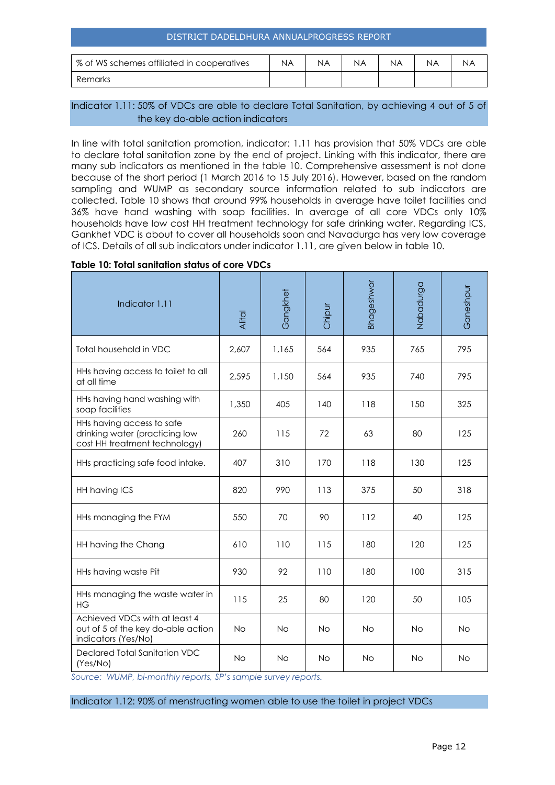| DISTRICT DADELDHURA ANNUALPROGRESS REPORT                                      |  |  |  |  |  |  |  |  |
|--------------------------------------------------------------------------------|--|--|--|--|--|--|--|--|
| % of WS schemes affiliated in cooperatives<br>ΝA<br>ΝA<br>ΝA<br>ΝA<br>ΝA<br>ΝA |  |  |  |  |  |  |  |  |
| Remarks                                                                        |  |  |  |  |  |  |  |  |

## Indicator 1.11: 50% of VDCs are able to declare Total Sanitation, by achieving 4 out of 5 of the key do-able action indicators

In line with total sanitation promotion, indicator: 1.11 has provision that 50% VDCs are able to declare total sanitation zone by the end of project. Linking with this indicator, there are many sub indicators as mentioned in the table 10. Comprehensive assessment is not done because of the short period (1 March 2016 to 15 July 2016). However, based on the random sampling and WUMP as secondary source information related to sub indicators are collected. Table 10 shows that around 99% households in average have toilet facilities and 36% have hand washing with soap facilities. In average of all core VDCs only 10% households have low cost HH treatment technology for safe drinking water. Regarding ICS, Gankhet VDC is about to cover all households soon and Navadurga has very low coverage of ICS. Details of all sub indicators under indicator 1.11, are given below in table 10.

#### **Table 10: Total sanitation status of core VDCs**

| Indicator 1.11                                                                               | Alital    | Gangkhet  | Chipur    | Bhageshwor | Nabadurga | Ganeshpur |
|----------------------------------------------------------------------------------------------|-----------|-----------|-----------|------------|-----------|-----------|
| Total household in VDC                                                                       | 2,607     | 1,165     | 564       | 935        | 765       | 795       |
| HHs having access to toilet to all<br>at all time                                            | 2,595     | 1,150     | 564       | 935        | 740       | 795       |
| HHs having hand washing with<br>soap facilities                                              | 1,350     | 405       | 140       | 118        | 150       | 325       |
| HHs having access to safe<br>drinking water (practicing low<br>cost HH treatment technology) | 260       | 115       | 72        | 63         | 80        | 125       |
| HHs practicing safe food intake.                                                             | 407       | 310       | 170       | 118        | 130       | 125       |
| HH having ICS                                                                                | 820       | 990       | 113       | 375        | 50        | 318       |
| HHs managing the FYM                                                                         | 550       | 70        | 90        | 112        | 40        | 125       |
| HH having the Chang                                                                          | 610       | 110       | 115       | 180        | 120       | 125       |
| HHs having waste Pit                                                                         | 930       | 92        | 110       | 180        | 100       | 315       |
| HHs managing the waste water in<br><b>HG</b>                                                 | 115       | 25        | 80        | 120        | 50        | 105       |
| Achieved VDCs with at least 4<br>out of 5 of the key do-able action<br>indicators (Yes/No)   | <b>No</b> | <b>No</b> | <b>No</b> | <b>No</b>  | <b>No</b> | <b>No</b> |
| Declared Total Sanitation VDC<br>(Yes/No)                                                    | <b>No</b> | <b>No</b> | <b>No</b> | <b>No</b>  | <b>No</b> | <b>No</b> |

*Source: WUMP, bi-monthly reports, SP's sample survey reports.*

Indicator 1.12: 90% of menstruating women able to use the toilet in project VDCs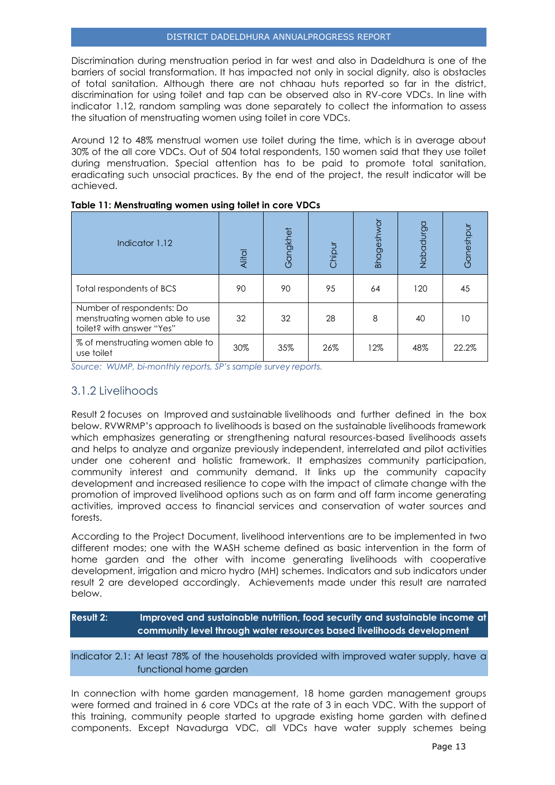Discrimination during menstruation period in far west and also in Dadeldhura is one of the barriers of social transformation. It has impacted not only in social dignity, also is obstacles of total sanitation. Although there are not chhaau huts reported so far in the district, discrimination for using toilet and tap can be observed also in RV-core VDCs. In line with indicator 1.12, random sampling was done separately to collect the information to assess the situation of menstruating women using toilet in core VDCs.

Around 12 to 48% menstrual women use toilet during the time, which is in average about 30% of the all core VDCs. Out of 504 total respondents, 150 women said that they use toilet during menstruation. Special attention has to be paid to promote total sanitation, eradicating such unsocial practices. By the end of the project, the result indicator will be achieved.

| Indicator 1.12                                                                           | Alital | Gangkhet | Chipur | <b>Bhageshw</b> | <b>DD</b><br>Nabadu | Ganeshpu |
|------------------------------------------------------------------------------------------|--------|----------|--------|-----------------|---------------------|----------|
| Total respondents of BCS                                                                 | 90     | 90       | 95     | 64              | 120                 | 45       |
| Number of respondents: Do<br>menstruating women able to use<br>toilet? with answer "Yes" | 32     | 32       | 28     | 8               | 40                  | 10       |
| % of menstruating women able to<br>use toilet                                            | 30%    | 35%      | 26%    | 12%             | 48%                 | 22.2%    |

#### **Table 11: Menstruating women using toilet in core VDCs**

<span id="page-13-0"></span>*Source: WUMP, bi-monthly reports, SP's sample survey reports.*

## 3.1.2 Livelihoods

Result 2 focuses on Improved and sustainable livelihoods and further defined in the box below. RVWRMP's approach to livelihoods is based on the sustainable livelihoods framework which emphasizes generating or strengthening natural resources-based livelihoods assets and helps to analyze and organize previously independent, interrelated and pilot activities under one coherent and holistic framework. It emphasizes community participation, community interest and community demand. It links up the community capacity development and increased resilience to cope with the impact of climate change with the promotion of improved livelihood options such as on farm and off farm income generating activities, improved access to financial services and conservation of water sources and forests.

According to the Project Document, livelihood interventions are to be implemented in two different modes; one with the WASH scheme defined as basic intervention in the form of home garden and the other with income generating livelihoods with cooperative development, irrigation and micro hydro (MH) schemes. Indicators and sub indicators under result 2 are developed accordingly. Achievements made under this result are narrated below.

## **Result 2: Improved and sustainable nutrition, food security and sustainable income at community level through water resources based livelihoods development**

Indicator 2.1: At least 78% of the households provided with improved water supply, have a functional home garden

In connection with home garden management, 18 home garden management groups were formed and trained in 6 core VDCs at the rate of 3 in each VDC. With the support of this training, community people started to upgrade existing home garden with defined components. Except Navadurga VDC, all VDCs have water supply schemes being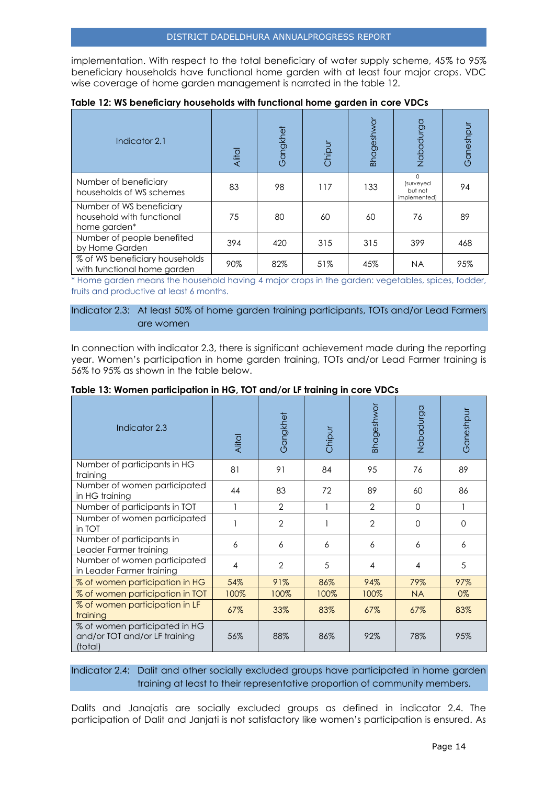implementation. With respect to the total beneficiary of water supply scheme, 45% to 95% beneficiary households have functional home garden with at least four major crops. VDC wise coverage of home garden management is narrated in the table 12.

| Indicator 2.1                                                         | Alital | Gangkhet | Chipur | Bhageshwor | Nabadurga                                        | Ganeshpur |
|-----------------------------------------------------------------------|--------|----------|--------|------------|--------------------------------------------------|-----------|
| Number of beneficiary<br>households of WS schemes                     | 83     | 98       | 117    | 133        | $\Omega$<br>(surveyed<br>but not<br>implemented) | 94        |
| Number of WS beneficiary<br>household with functional<br>home garden* | 75     | 80       | 60     | 60         | 76                                               | 89        |
| Number of people benefited<br>by Home Garden                          | 394    | 420      | 315    | 315        | 399                                              | 468       |
| % of WS beneficiary households<br>with functional home garden         | 90%    | 82%      | 51%    | 45%        | <b>NA</b>                                        | 95%       |

#### **Table 12: WS beneficiary households with functional home garden in core VDCs**

\* Home garden means the household having 4 major crops in the garden: vegetables, spices, fodder, fruits and productive at least 6 months.

#### Indicator 2.3: At least 50% of home garden training participants, TOTs and/or Lead Farmers are women

In connection with indicator 2.3, there is significant achievement made during the reporting year. Women's participation in home garden training, TOTs and/or Lead Farmer training is 56% to 95% as shown in the table below.

| Indicator 2.3                                                             | Alital                   | Gangkhet       | Chipur | <b>Bhageshwor</b> | Nabadurga | Ganeshpur |
|---------------------------------------------------------------------------|--------------------------|----------------|--------|-------------------|-----------|-----------|
| Number of participants in HG<br>training                                  | 81                       | 91             | 84     | 95                | 76        | 89        |
| Number of women participated<br>in HG training                            | 44                       | 83             | 72     | 89                | 60        | 86        |
| Number of participants in TOT                                             |                          | $\mathfrak{D}$ |        | $\mathcal{P}$     | $\Omega$  |           |
| Number of women participated<br>in TOT                                    |                          | $\mathfrak{D}$ |        | $\overline{2}$    | $\Omega$  | $\Omega$  |
| Number of participants in<br>Leader Farmer training                       | 6                        | 6              | 6      | 6                 | 6         | 6         |
| Number of women participated<br>in Leader Farmer training                 | $\overline{\mathcal{A}}$ | $\overline{2}$ | 5      | 4                 | 4         | 5         |
| % of women participation in HG                                            | 54%                      | 91%            | 86%    | 94%               | 79%       | 97%       |
| % of women participation in TOT                                           | 100%                     | 100%           | 100%   | 100%              | <b>NA</b> | $0\%$     |
| % of women participation in LF<br>training                                | 67%                      | 33%            | 83%    | 67%               | 67%       | 83%       |
| % of women participated in HG<br>and/or TOT and/or LF training<br>(total) | 56%                      | 88%            | 86%    | 92%               | 78%       | 95%       |

#### **Table 13: Women participation in HG, TOT and/or LF training in core VDCs**

Indicator 2.4: Dalit and other socially excluded groups have participated in home garden training at least to their representative proportion of community members.

Dalits and Janajatis are socially excluded groups as defined in indicator 2.4. The participation of Dalit and Janjati is not satisfactory like women's participation is ensured. As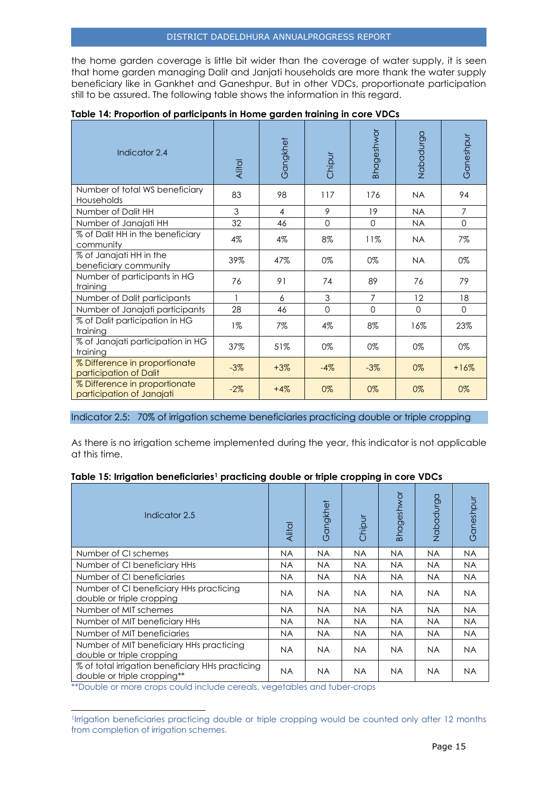the home garden coverage is little bit wider than the coverage of water supply, it is seen that home garden managing Dalit and Janjati households are more thank the water supply beneficiary like in Gankhet and Ganeshpur. But in other VDCs, proportionate participation still to be assured. The following table shows the information in this regard.

| Indicator 2.4                                              | <b>Alital</b> | Gangkhet       | Chipur      | <b>Bhageshwor</b> | Nabadurga | Ganeshpur      |
|------------------------------------------------------------|---------------|----------------|-------------|-------------------|-----------|----------------|
| Number of total WS beneficiary<br>Households               | 83            | 98             | 117         | 176               | <b>NA</b> | 94             |
| Number of Dalit HH                                         | 3             | $\overline{4}$ | 9           | 19                | <b>NA</b> | $\overline{7}$ |
| Number of Janajati HH                                      | 32            | 46             | $\mathbf 0$ | $\Omega$          | <b>NA</b> | $\mathbf 0$    |
| % of Dalit HH in the beneficiary<br>community              | 4%            | 4%             | 8%          | 11%               | <b>NA</b> | $7\%$          |
| % of Janajati HH in the<br>beneficiary community           | 39%           | 47%            | 0%          | 0%                | <b>NA</b> | $0\%$          |
| Number of participants in HG<br>training                   | 76            | 91             | 74          | 89                | 76        | 79             |
| Number of Dalit participants                               |               | 6              | 3           | $\overline{7}$    | 12        | 18             |
| Number of Janajati participants                            | 28            | 46             | $\Omega$    | $\Omega$          | $\Omega$  | $\Omega$       |
| % of Dalit participation in HG<br>training                 | $1\%$         | 7%             | 4%          | 8%                | 16%       | 23%            |
| % of Janajati participation in HG<br>training              | 37%           | 51%            | 0%          | 0%                | 0%        | $0\%$          |
| % Difference in proportionate<br>participation of Dalit    | $-3%$         | $+3%$          | $-4%$       | $-3%$             | 0%        | $+16%$         |
| % Difference in proportionate<br>participation of Janajati | $-2%$         | $+4%$          | 0%          | 0%                | 0%        | 0%             |

## **Table 14: Proportion of participants in Home garden training in core VDCs**

Indicator 2.5: 70% of irrigation scheme beneficiaries practicing double or triple cropping

As there is no irrigation scheme implemented during the year, this indicator is not applicable at this time.

#### **Table 15: Irrigation beneficiaries<sup>1</sup> practicing double or triple cropping in core VDCs**

| Indicator 2.5                                                                   | <b>Alital</b> | Gangkhet  | Chipur    | <b>Bhageshwor</b> | Nabadurga | Ganeshpur |
|---------------------------------------------------------------------------------|---------------|-----------|-----------|-------------------|-----------|-----------|
| Number of CI schemes                                                            | NA.           | <b>NA</b> | <b>NA</b> | <b>NA</b>         | <b>NA</b> | <b>NA</b> |
| Number of CI beneficiary HHs                                                    | NA.           | NA.       | <b>NA</b> | NA.               | NA.       | NA.       |
| Number of CI beneficiaries                                                      | NA.           | NA.       | <b>NA</b> | NA.               | NA.       | NA.       |
| Number of CI beneficiary HHs practicing<br>double or triple cropping            | <b>NA</b>     | <b>NA</b> | <b>NA</b> | <b>NA</b>         | NA.       | <b>NA</b> |
| Number of MIT schemes                                                           | NA.           | <b>NA</b> | <b>NA</b> | <b>NA</b>         | NA.       | NA.       |
| Number of MIT beneficiary HHs                                                   | <b>NA</b>     | <b>NA</b> | <b>NA</b> | <b>NA</b>         | NA.       | NA.       |
| Number of MIT beneficiaries                                                     | NA.           | <b>NA</b> | <b>NA</b> | <b>NA</b>         | <b>NA</b> | <b>NA</b> |
| Number of MIT beneficiary HHs practicing<br>double or triple cropping           | NA.           | NA.       | NA.       | NA.               | NA.       | <b>NA</b> |
| % of total irrigation beneficiary HHs practicing<br>double or triple cropping** | <b>NA</b>     | <b>NA</b> | <b>NA</b> | NA                | NA.       | <b>NA</b> |

\*\*Double or more crops could include cereals, vegetables and tuber-crops

l

<sup>1</sup> Irrigation beneficiaries practicing double or triple cropping would be counted only after 12 months from completion of irrigation schemes.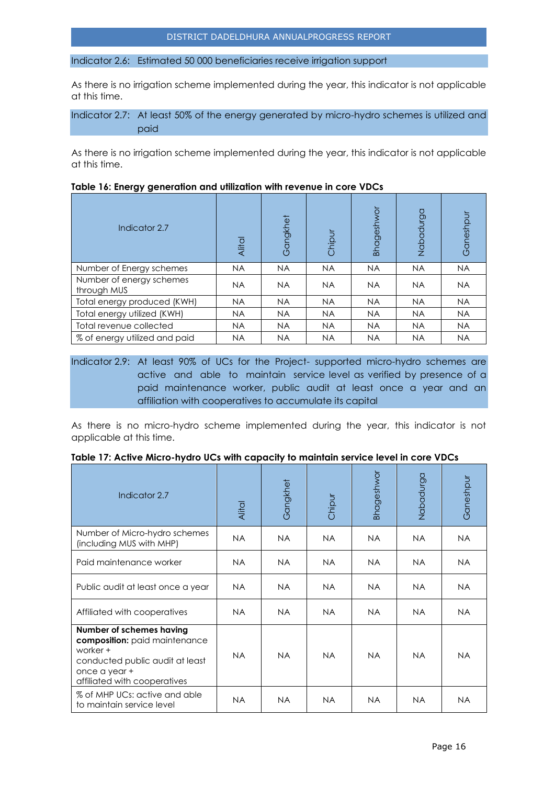Indicator 2.6: Estimated 50 000 beneficiaries receive irrigation support

As there is no irrigation scheme implemented during the year, this indicator is not applicable at this time.

Indicator 2.7: At least 50% of the energy generated by micro-hydro schemes is utilized and paid

As there is no irrigation scheme implemented during the year, this indicator is not applicable at this time.

| Indicator 2.7                           | Alital    | Gangkhet  | Chipur    | Bhageshwor | Nabadurga | Ganeshpur |
|-----------------------------------------|-----------|-----------|-----------|------------|-----------|-----------|
| Number of Energy schemes                | <b>NA</b> | <b>NA</b> | <b>NA</b> | <b>NA</b>  | <b>NA</b> | <b>NA</b> |
| Number of energy schemes<br>through MUS | <b>NA</b> | <b>NA</b> | <b>NA</b> | <b>NA</b>  | <b>NA</b> | <b>NA</b> |
| Total energy produced (KWH)             | <b>NA</b> | <b>NA</b> | <b>NA</b> | <b>NA</b>  | <b>NA</b> | <b>NA</b> |
| Total energy utilized (KWH)             | <b>NA</b> | <b>NA</b> | <b>NA</b> | <b>NA</b>  | <b>NA</b> | <b>NA</b> |
| Total revenue collected                 | <b>NA</b> | <b>NA</b> | <b>NA</b> | <b>NA</b>  | <b>NA</b> | <b>NA</b> |
| % of energy utilized and paid           | <b>NA</b> | <b>NA</b> | <b>NA</b> | <b>NA</b>  | <b>NA</b> | <b>NA</b> |

#### **Table 16: Energy generation and utilization with revenue in core VDCs**

Indicator 2.9: At least 90% of UCs for the Project- supported micro-hydro schemes are active and able to maintain service level as verified by presence of a paid maintenance worker, public audit at least once a year and an affiliation with cooperatives to accumulate its capital

As there is no micro-hydro scheme implemented during the year, this indicator is not applicable at this time.

|  |  |  |  | Table 17: Active Micro-hydro UCs with capacity to maintain service level in core VDCs |  |  |
|--|--|--|--|---------------------------------------------------------------------------------------|--|--|
|  |  |  |  |                                                                                       |  |  |

| Indicator 2.7                                                                                                                                             | Alital    | Gangkhet  | Chipur    | <b>Bhageshwor</b> | Nabadurga | Ganeshpur |
|-----------------------------------------------------------------------------------------------------------------------------------------------------------|-----------|-----------|-----------|-------------------|-----------|-----------|
| Number of Micro-hydro schemes<br>(including MUS with MHP)                                                                                                 | <b>NA</b> | NA.       | <b>NA</b> | NA.               | NA.       | NA.       |
| Paid maintenance worker                                                                                                                                   | <b>NA</b> | NA.       | <b>NA</b> | <b>NA</b>         | <b>NA</b> | NA.       |
| Public audit at least once a year                                                                                                                         | NA.       | NA.       | <b>NA</b> | NA.               | NA.       | NA.       |
| Affiliated with cooperatives                                                                                                                              | <b>NA</b> | NA.       | <b>NA</b> | NA.               | NA.       | <b>NA</b> |
| Number of schemes having<br>composition: paid maintenance<br>worker +<br>conducted public audit at least<br>once a year +<br>affiliated with cooperatives | <b>NA</b> | <b>NA</b> | <b>NA</b> | <b>NA</b>         | <b>NA</b> | NA.       |
| % of MHP UCs: active and able<br>to maintain service level                                                                                                | <b>NA</b> | NA.       | <b>NA</b> | <b>NA</b>         | NA.       | <b>NA</b> |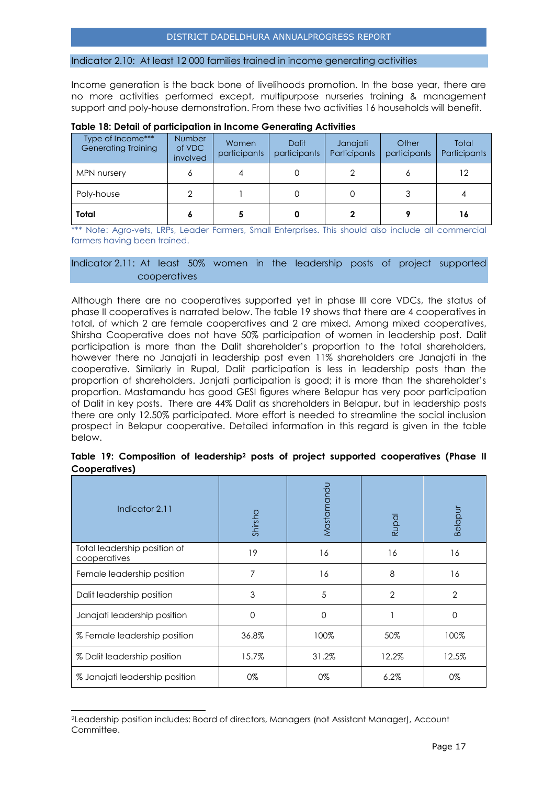#### Indicator 2.10: At least 12 000 families trained in income generating activities

Income generation is the back bone of livelihoods promotion. In the base year, there are no more activities performed except, multipurpose nurseries training & management support and poly-house demonstration. From these two activities 16 households will benefit.

| Type of Income***<br><b>Generating Training</b> | <b>Number</b><br>of VDC<br>involved | Women<br>participants | <b>Dalit</b><br>participants | Janajati<br>Participants | Other<br>participants | Total<br>Participants |
|-------------------------------------------------|-------------------------------------|-----------------------|------------------------------|--------------------------|-----------------------|-----------------------|
| MPN nursery                                     |                                     |                       |                              |                          |                       | 12                    |
| Poly-house                                      |                                     |                       |                              |                          |                       |                       |
| Total                                           |                                     |                       |                              |                          |                       | 16                    |

#### **Table 18: Detail of participation in Income Generating Activities**

\*\*\* Note: Agro-vets, LRPs, Leader Farmers, Small Enterprises. This should also include all commercial farmers having been trained.

#### Indicator 2.11: At least 50% women in the leadership posts of project supported cooperatives

Although there are no cooperatives supported yet in phase III core VDCs, the status of phase II cooperatives is narrated below. The table 19 shows that there are 4 cooperatives in total, of which 2 are female cooperatives and 2 are mixed. Among mixed cooperatives, Shirsha Cooperative does not have 50% participation of women in leadership post. Dalit participation is more than the Dalit shareholder's proportion to the total shareholders, however there no Janajati in leadership post even 11% shareholders are Janajati in the cooperative. Similarly in Rupal, Dalit participation is less in leadership posts than the proportion of shareholders. Janjati participation is good; it is more than the shareholder's proportion. Mastamandu has good GESI figures where Belapur has very poor participation of Dalit in key posts. There are 44% Dalit as shareholders in Belapur, but in leadership posts there are only 12.50% participated. More effort is needed to streamline the social inclusion prospect in Belapur cooperative. Detailed information in this regard is given in the table below.

| Indicator 2.11                               | Shirsha  | Mastamandu | Rupal          | Belapur        |
|----------------------------------------------|----------|------------|----------------|----------------|
| Total leadership position of<br>cooperatives | 19       | 16         | 16             | 16             |
| Female leadership position                   | 7        | 16         | 8              | 16             |
| Dalit leadership position                    | 3        | 5          | $\overline{2}$ | $\overline{2}$ |
| Janajati leadership position                 | $\Omega$ | 0          |                | 0              |
| % Female leadership position                 | 36.8%    | 100%       | 50%            | 100%           |
| % Dalit leadership position                  | 15.7%    | 31.2%      | 12.2%          | 12.5%          |
| % Janajati leadership position               | 0%       | 0%         | 6.2%           | 0%             |

#### **Table 19: Composition of leadership<sup>2</sup> posts of project supported cooperatives (Phase II Cooperatives)**

l

<sup>2</sup>Leadership position includes: Board of directors, Managers (not Assistant Manager), Account Committee.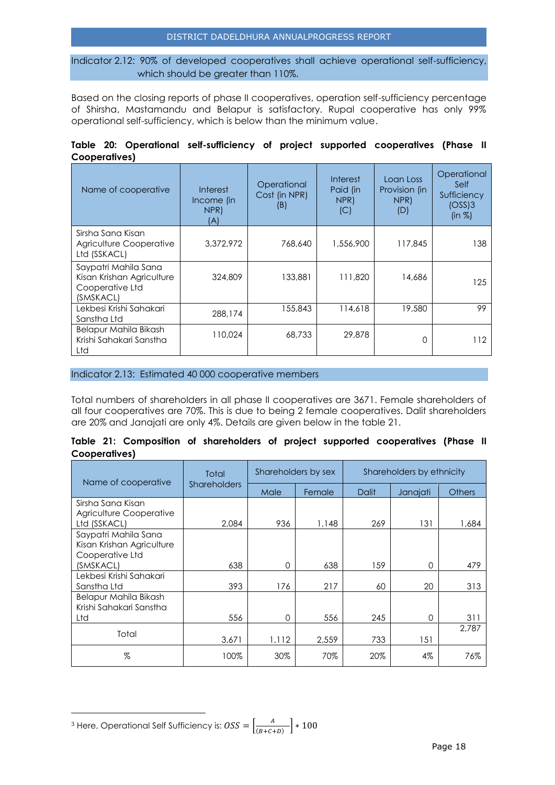#### DISTRICT DADELDHURA ANNUALPROGRESS REPORT

Indicator 2.12: 90% of developed cooperatives shall achieve operational self-sufficiency, which should be greater than 110%.

Based on the closing reports of phase II cooperatives, operation self-sufficiency percentage of Shirsha, Mastamandu and Belapur is satisfactory. Rupal cooperative has only 99% operational self-sufficiency, which is below than the minimum value.

|               |  | Table 20: Operational self-sufficiency of project supported cooperatives (Phase II |  |  |  |
|---------------|--|------------------------------------------------------------------------------------|--|--|--|
| Cooperatives) |  |                                                                                    |  |  |  |

| Name of cooperative                                                               | Interest<br>Income (in<br>NPR)<br>(A) | Operational<br>Cost (in NPR)<br>(B) | Interest<br>Paid (in<br>NPR)<br>(C) | Loan Loss<br>Provision (in<br>NPR)<br>(D) | Operational<br>Self<br>Sufficiency<br>(OSS)3<br>(in %) |
|-----------------------------------------------------------------------------------|---------------------------------------|-------------------------------------|-------------------------------------|-------------------------------------------|--------------------------------------------------------|
| Sirsha Sana Kisan<br>Agriculture Cooperative<br>Ltd (SSKACL)                      | 3,372,972                             | 768,640                             | 1,556,900                           | 117,845                                   | 138                                                    |
| Saypatri Mahila Sana<br>Kisan Krishan Agriculture<br>Cooperative Ltd<br>(SMSKACL) | 324,809                               | 133,881                             | 111,820                             | 14.686                                    | 125                                                    |
| Lekbesi Krishi Sahakari<br>Sanstha Ltd                                            | 288,174                               | 155,843                             | 114,618                             | 19,580                                    | 99                                                     |
| Belapur Mahila Bikash<br>Krishi Sahakari Sanstha<br>Ltd                           | 110,024                               | 68,733                              | 29,878                              | ∩                                         | 112                                                    |

Indicator 2.13: Estimated 40 000 cooperative members

Total numbers of shareholders in all phase II cooperatives are 3671. Female shareholders of all four cooperatives are 70%. This is due to being 2 female cooperatives. Dalit shareholders are 20% and Janajati are only 4%. Details are given below in the table 21.

|               |  |  |  | Table 21: Composition of shareholders of project supported cooperatives (Phase II |  |
|---------------|--|--|--|-----------------------------------------------------------------------------------|--|
| Cooperatives) |  |  |  |                                                                                   |  |

| Name of cooperative                                                  | Total               |          | Shareholders by sex | Shareholders by ethnicity |          |               |  |
|----------------------------------------------------------------------|---------------------|----------|---------------------|---------------------------|----------|---------------|--|
|                                                                      | <b>Shareholders</b> | Male     | Female              | <b>Dalit</b>              | Janajati | <b>Others</b> |  |
| Sirsha Sana Kisan                                                    |                     |          |                     |                           |          |               |  |
| Agriculture Cooperative<br>Ltd (SSKACL)                              | 2.084               | 936      | 1,148               | 269                       | 131      | 1,684         |  |
| Saypatri Mahila Sana<br>Kisan Krishan Agriculture<br>Cooperative Ltd |                     |          |                     |                           |          |               |  |
| (SMSKACL)                                                            | 638                 | $\Omega$ | 638                 | 159                       | 0        | 479           |  |
| Lekbesi Krishi Sahakari<br>Sanstha Ltd                               | 393                 | 176      | 217                 | 60                        | 20       | 313           |  |
| Belapur Mahila Bikash<br>Krishi Sahakari Sanstha                     |                     |          |                     |                           |          |               |  |
| Ltd                                                                  | 556                 | $\Omega$ | 556                 | 245                       | 0        | 311           |  |
| Total                                                                | 3.671               | 1,112    | 2,559               | 733                       | 151      | 2,787         |  |
| %                                                                    | 100%                | 30%      | 70%                 | 20%                       | 4%       | 76%           |  |

l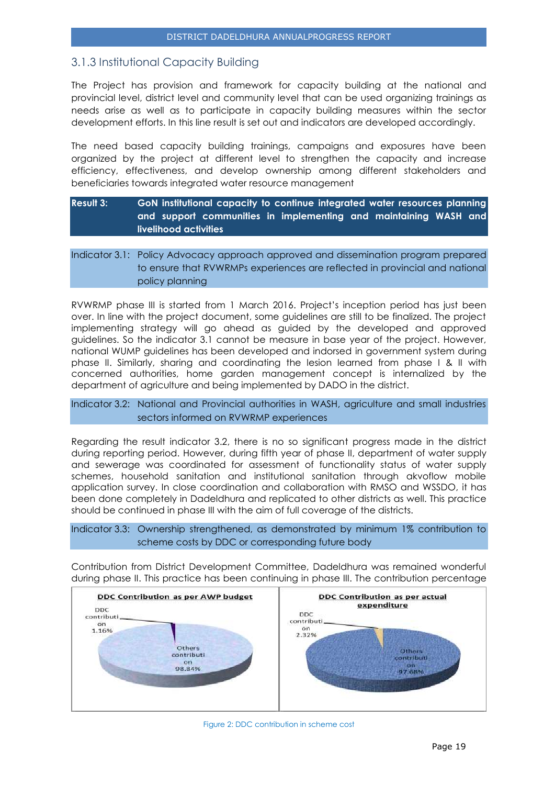# <span id="page-19-0"></span>3.1.3 Institutional Capacity Building

The Project has provision and framework for capacity building at the national and provincial level, district level and community level that can be used organizing trainings as needs arise as well as to participate in capacity building measures within the sector development efforts. In this line result is set out and indicators are developed accordingly.

The need based capacity building trainings, campaigns and exposures have been organized by the project at different level to strengthen the capacity and increase efficiency, effectiveness, and develop ownership among different stakeholders and beneficiaries towards integrated water resource management

## **Result 3: GoN institutional capacity to continue integrated water resources planning and support communities in implementing and maintaining WASH and livelihood activities**

## Indicator 3.1: Policy Advocacy approach approved and dissemination program prepared to ensure that RVWRMPs experiences are reflected in provincial and national policy planning

RVWRMP phase III is started from 1 March 2016. Project's inception period has just been over. In line with the project document, some guidelines are still to be finalized. The project implementing strategy will go ahead as guided by the developed and approved guidelines. So the indicator 3.1 cannot be measure in base year of the project. However, national WUMP guidelines has been developed and indorsed in government system during phase II. Similarly, sharing and coordinating the lesion learned from phase I & II with concerned authorities, home garden management concept is internalized by the department of agriculture and being implemented by DADO in the district.

#### Indicator 3.2: National and Provincial authorities in WASH, agriculture and small industries sectors informed on RVWRMP experiences

Regarding the result indicator 3.2, there is no so significant progress made in the district during reporting period. However, during fifth year of phase II, department of water supply and sewerage was coordinated for assessment of functionality status of water supply schemes, household sanitation and institutional sanitation through akvoflow mobile application survey. In close coordination and collaboration with RMSO and WSSDO, it has been done completely in Dadeldhura and replicated to other districts as well. This practice should be continued in phase III with the aim of full coverage of the districts.

Indicator 3.3: Ownership strengthened, as demonstrated by minimum 1% contribution to scheme costs by DDC or corresponding future body

Contribution from District Development Committee, Dadeldhura was remained wonderful during phase II. This practice has been continuing in phase III. The contribution percentage

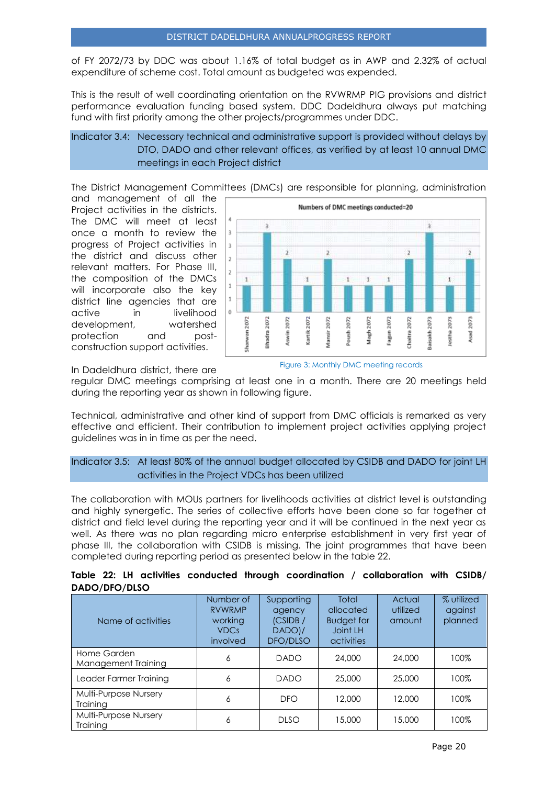of FY 2072/73 by DDC was about 1.16% of total budget as in AWP and 2.32% of actual expenditure of scheme cost. Total amount as budgeted was expended.

This is the result of well coordinating orientation on the RVWRMP PIG provisions and district performance evaluation funding based system. DDC Dadeldhura always put matching fund with first priority among the other projects/programmes under DDC.

## Indicator 3.4: Necessary technical and administrative support is provided without delays by DTO, DADO and other relevant offices, as verified by at least 10 annual DMC meetings in each Project district

The District Management Committees (DMCs) are responsible for planning, administration

and management of all the Project activities in the districts. The DMC will meet at least once a month to review the progress of Project activities in the district and discuss other relevant matters. For Phase III, the composition of the DMCs will incorporate also the key district line agencies that are active in livelihood development, watershed protection and postconstruction support activities.



In Dadeldhura district, there are



regular DMC meetings comprising at least one in a month. There are 20 meetings held during the reporting year as shown in following figure.

Technical, administrative and other kind of support from DMC officials is remarked as very effective and efficient. Their contribution to implement project activities applying project guidelines was in in time as per the need.

#### Indicator 3.5: At least 80% of the annual budget allocated by CSIDB and DADO for joint LH activities in the Project VDCs has been utilized

The collaboration with MOUs partners for livelihoods activities at district level is outstanding and highly synergetic. The series of collective efforts have been done so far together at district and field level during the reporting year and it will be continued in the next year as well. As there was no plan regarding micro enterprise establishment in very first year of phase III, the collaboration with CSIDB is missing. The joint programmes that have been completed during reporting period as presented below in the table 22.

|               |  |  |  | Table 22: LH activities conducted through coordination / collaboration with CSIDB/ |  |
|---------------|--|--|--|------------------------------------------------------------------------------------|--|
| DADO/DFO/DLSO |  |  |  |                                                                                    |  |

| Name of activities                       | Number of<br><b>RVWRMP</b><br>working<br><b>VDCs</b><br>involved | Supporting<br>agency<br>(CSIDE /<br>DADO)/<br>DFO/DLSO | Total<br>allocated<br><b>Budget for</b><br>Joint LH<br>activities | Actual<br>utilized<br>amount | % utilized<br>against<br>planned |
|------------------------------------------|------------------------------------------------------------------|--------------------------------------------------------|-------------------------------------------------------------------|------------------------------|----------------------------------|
| Home Garden<br>Management Training       | 6                                                                | <b>DADO</b>                                            | 24,000                                                            | 24,000                       | 100%                             |
| Leader Farmer Training                   | 6                                                                | <b>DADO</b>                                            | 25,000                                                            | 25,000                       | 100%                             |
| Multi-Purpose Nursery<br><b>Training</b> | 6                                                                | <b>DFO</b>                                             | 12,000                                                            | 12,000                       | 100%                             |
| Multi-Purpose Nursery<br>Training        | 6                                                                | <b>DLSO</b>                                            | 15,000                                                            | 15,000                       | 100%                             |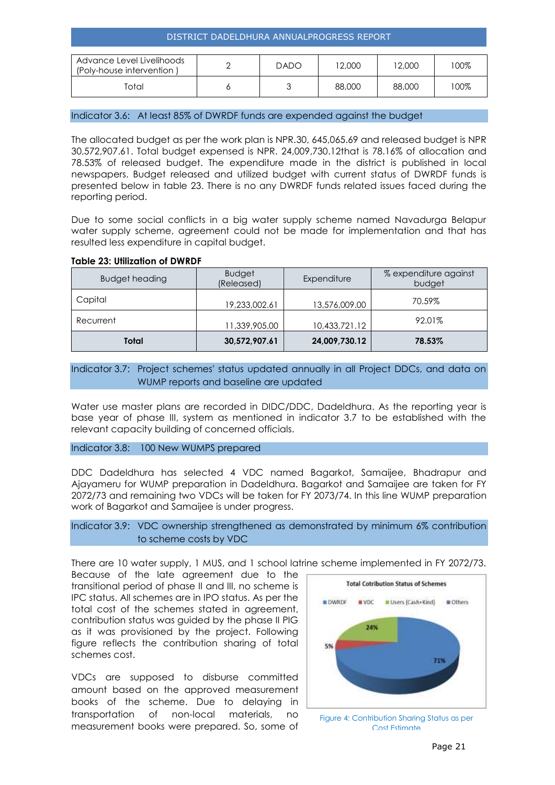| Advance Level Livelihoods<br>(Poly-house intervention) | <b>DADO</b> | 12,000 | 12,000 | $00\%$ |
|--------------------------------------------------------|-------------|--------|--------|--------|
| Total                                                  |             | 88,000 | 88,000 | '00%   |

#### Indicator 3.6: At least 85% of DWRDF funds are expended against the budget

The allocated budget as per the work plan is NPR.30, 645,065.69 and released budget is NPR 30,572,907.61. Total budget expensed is NPR. 24,009,730.12that is 78.16% of allocation and 78.53% of released budget. The expenditure made in the district is published in local newspapers. Budget released and utilized budget with current status of DWRDF funds is presented below in table 23. There is no any DWRDF funds related issues faced during the reporting period.

Due to some social conflicts in a big water supply scheme named Navadurga Belapur water supply scheme, agreement could not be made for implementation and that has resulted less expenditure in capital budget.

#### **Table 23: Utilization of DWRDF**

| <b>Budget heading</b> | <b>Budget</b><br>(Released) | Expenditure   | % expenditure against<br>budget |
|-----------------------|-----------------------------|---------------|---------------------------------|
| Capital               | 19,233,002.61               | 13,576,009.00 | 70.59%                          |
| Recurrent             | 11,339,905.00               | 10,433,721.12 | 92.01%                          |
| Total                 | 30,572,907.61               | 24,009,730.12 | 78.53%                          |

#### Indicator 3.7: Project schemes' status updated annually in all Project DDCs, and data on WUMP reports and baseline are updated

Water use master plans are recorded in DIDC/DDC, Dadeldhura. As the reporting year is base year of phase III, system as mentioned in indicator 3.7 to be established with the relevant capacity building of concerned officials.

#### Indicator 3.8: 100 New WUMPS prepared

DDC Dadeldhura has selected 4 VDC named Bagarkot, Samaijee, Bhadrapur and Ajayameru for WUMP preparation in Dadeldhura. Bagarkot and Samaijee are taken for FY 2072/73 and remaining two VDCs will be taken for FY 2073/74. In this line WUMP preparation work of Bagarkot and Samaijee is under progress.

#### Indicator 3.9: VDC ownership strengthened as demonstrated by minimum 6% contribution to scheme costs by VDC

There are 10 water supply, 1 MUS, and 1 school latrine scheme implemented in FY 2072/73.

Because of the late agreement due to the transitional period of phase II and III, no scheme is IPC status. All schemes are in IPO status. As per the total cost of the schemes stated in agreement, contribution status was guided by the phase II PIG as it was provisioned by the project. Following figure reflects the contribution sharing of total schemes cost.

VDCs are supposed to disburse committed amount based on the approved measurement books of the scheme. Due to delaying in transportation of non-local materials, no measurement books were prepared. So, some of



Figure 4: Contribution Sharing Status as per Cost Estimate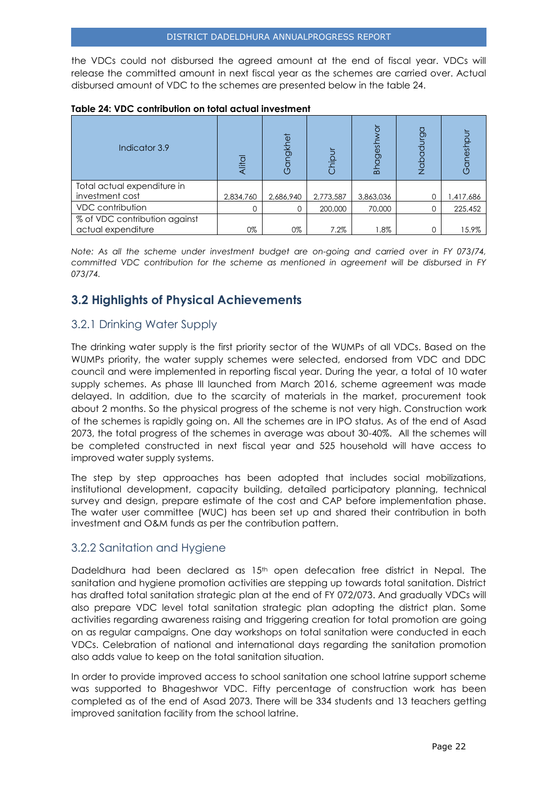the VDCs could not disbursed the agreed amount at the end of fiscal year. VDCs will release the committed amount in next fiscal year as the schemes are carried over. Actual disbursed amount of VDC to the schemes are presented below in the table 24.

| Table 24: VDC contribution on total actual investment |  |  |  |  |
|-------------------------------------------------------|--|--|--|--|
|-------------------------------------------------------|--|--|--|--|

| Indicator 3.9                                       | Alital    | ngkhet    | hipur     | $\overline{C}$<br>agesh<br>묻 | pp.<br>₫<br>Nabc | iuse     |
|-----------------------------------------------------|-----------|-----------|-----------|------------------------------|------------------|----------|
| Total actual expenditure in                         |           |           |           |                              |                  |          |
| investment cost                                     | 2,834,760 | 2,686,940 | 2,773,587 | 3,863,036                    |                  | ,417,686 |
| <b>VDC</b> contribution                             |           |           | 200,000   | 70,000                       |                  | 225,452  |
| % of VDC contribution against<br>actual expenditure | 0%        | 0%        | 7.2%      | $1.8\%$                      |                  | 15.9%    |

*Note: As all the scheme under investment budget are on-going and carried over in FY 073/74, committed VDC contribution for the scheme as mentioned in agreement will be disbursed in FY 073/74.*

# <span id="page-22-0"></span>**3.2 Highlights of Physical Achievements**

# <span id="page-22-1"></span>3.2.1 Drinking Water Supply

The drinking water supply is the first priority sector of the WUMPs of all VDCs. Based on the WUMPs priority, the water supply schemes were selected, endorsed from VDC and DDC council and were implemented in reporting fiscal year. During the year, a total of 10 water supply schemes. As phase III launched from March 2016, scheme agreement was made delayed. In addition, due to the scarcity of materials in the market, procurement took about 2 months. So the physical progress of the scheme is not very high. Construction work of the schemes is rapidly going on. All the schemes are in IPO status. As of the end of Asad 2073, the total progress of the schemes in average was about 30-40%. All the schemes will be completed constructed in next fiscal year and 525 household will have access to improved water supply systems.

The step by step approaches has been adopted that includes social mobilizations, institutional development, capacity building, detailed participatory planning, technical survey and design, prepare estimate of the cost and CAP before implementation phase. The water user committee (WUC) has been set up and shared their contribution in both investment and O&M funds as per the contribution pattern.

# <span id="page-22-2"></span>3.2.2 Sanitation and Hygiene

Dadeldhura had been declared as  $15<sup>th</sup>$  open defecation free district in Nepal. The sanitation and hygiene promotion activities are stepping up towards total sanitation. District has drafted total sanitation strategic plan at the end of FY 072/073. And gradually VDCs will also prepare VDC level total sanitation strategic plan adopting the district plan. Some activities regarding awareness raising and triggering creation for total promotion are going on as regular campaigns. One day workshops on total sanitation were conducted in each VDCs. Celebration of national and international days regarding the sanitation promotion also adds value to keep on the total sanitation situation.

In order to provide improved access to school sanitation one school latrine support scheme was supported to Bhageshwor VDC. Fifty percentage of construction work has been completed as of the end of Asad 2073. There will be 334 students and 13 teachers getting improved sanitation facility from the school latrine.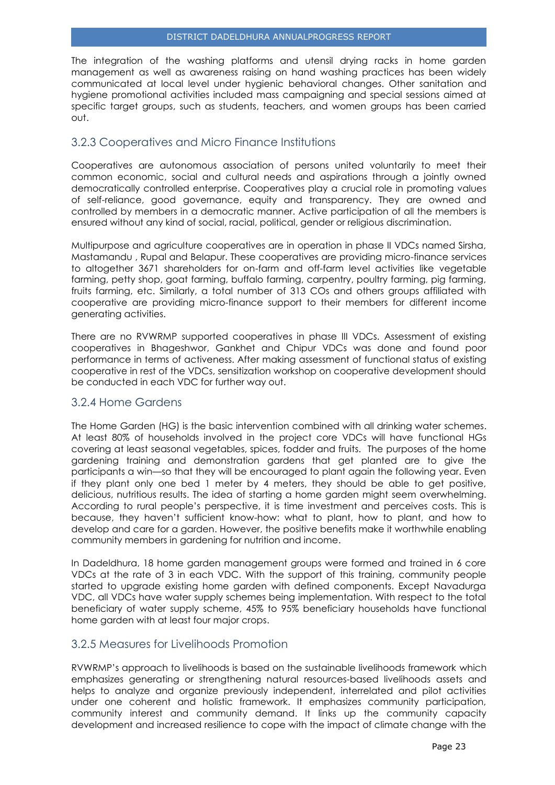The integration of the washing platforms and utensil drying racks in home garden management as well as awareness raising on hand washing practices has been widely communicated at local level under hygienic behavioral changes. Other sanitation and hygiene promotional activities included mass campaigning and special sessions aimed at specific target groups, such as students, teachers, and women groups has been carried out.

# <span id="page-23-0"></span>3.2.3 Cooperatives and Micro Finance Institutions

Cooperatives are autonomous association of persons united voluntarily to meet their common economic, social and cultural needs and aspirations through a jointly owned democratically controlled enterprise. Cooperatives play a crucial role in promoting values of self-reliance, good governance, equity and transparency. They are owned and controlled by members in a democratic manner. Active participation of all the members is ensured without any kind of social, racial, political, gender or religious discrimination.

Multipurpose and agriculture cooperatives are in operation in phase II VDCs named Sirsha, Mastamandu , Rupal and Belapur. These cooperatives are providing micro-finance services to altogether 3671 shareholders for on-farm and off-farm level activities like vegetable farming, petty shop, goat farming, buffalo farming, carpentry, poultry farming, pig farming, fruits farming, etc. Similarly, a total number of 313 COs and others groups affiliated with cooperative are providing micro-finance support to their members for different income generating activities.

There are no RVWRMP supported cooperatives in phase III VDCs. Assessment of existing cooperatives in Bhageshwor, Gankhet and Chipur VDCs was done and found poor performance in terms of activeness. After making assessment of functional status of existing cooperative in rest of the VDCs, sensitization workshop on cooperative development should be conducted in each VDC for further way out.

## <span id="page-23-1"></span>3.2.4 Home Gardens

The Home Garden (HG) is the basic intervention combined with all drinking water schemes. At least 80% of households involved in the project core VDCs will have functional HGs covering at least seasonal vegetables, spices, fodder and fruits. The purposes of the home gardening training and demonstration gardens that get planted are to give the participants a win—so that they will be encouraged to plant again the following year. Even if they plant only one bed 1 meter by 4 meters, they should be able to get positive, delicious, nutritious results. The idea of starting a home garden might seem overwhelming. According to rural people's perspective, it is time investment and perceives costs. This is because, they haven't sufficient know-how: what to plant, how to plant, and how to develop and care for a garden. However, the positive benefits make it worthwhile enabling community members in gardening for nutrition and income.

In Dadeldhura, 18 home garden management groups were formed and trained in 6 core VDCs at the rate of 3 in each VDC. With the support of this training, community people started to upgrade existing home garden with defined components. Except Navadurga VDC, all VDCs have water supply schemes being implementation. With respect to the total beneficiary of water supply scheme, 45% to 95% beneficiary households have functional home garden with at least four major crops.

## <span id="page-23-2"></span>3.2.5 Measures for Livelihoods Promotion

RVWRMP's approach to livelihoods is based on the sustainable livelihoods framework which emphasizes generating or strengthening natural resources-based livelihoods assets and helps to analyze and organize previously independent, interrelated and pilot activities under one coherent and holistic framework. It emphasizes community participation, community interest and community demand. It links up the community capacity development and increased resilience to cope with the impact of climate change with the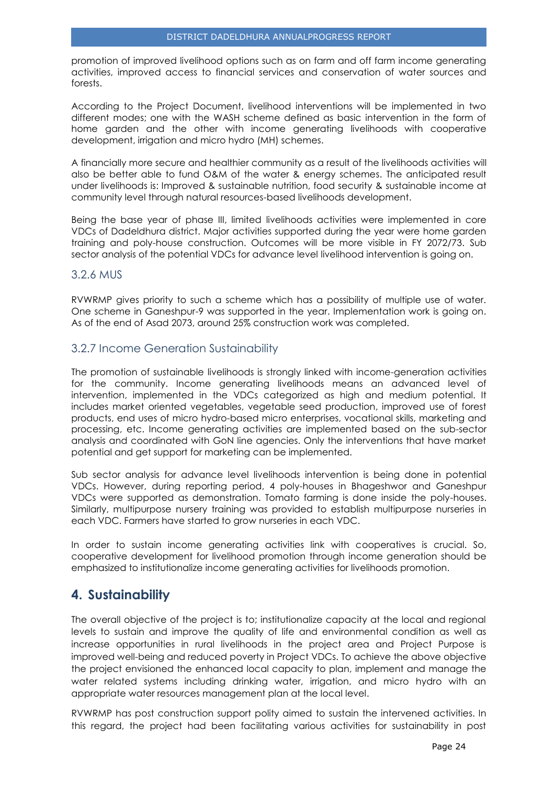promotion of improved livelihood options such as on farm and off farm income generating activities, improved access to financial services and conservation of water sources and forests.

According to the Project Document, livelihood interventions will be implemented in two different modes; one with the WASH scheme defined as basic intervention in the form of home garden and the other with income generating livelihoods with cooperative development, irrigation and micro hydro (MH) schemes.

A financially more secure and healthier community as a result of the livelihoods activities will also be better able to fund O&M of the water & energy schemes. The anticipated result under livelihoods is: Improved & sustainable nutrition, food security & sustainable income at community level through natural resources-based livelihoods development.

Being the base year of phase III, limited livelihoods activities were implemented in core VDCs of Dadeldhura district. Major activities supported during the year were home garden training and poly-house construction. Outcomes will be more visible in FY 2072/73. Sub sector analysis of the potential VDCs for advance level livelihood intervention is going on.

# <span id="page-24-0"></span>3.2.6 MUS

RVWRMP gives priority to such a scheme which has a possibility of multiple use of water. One scheme in Ganeshpur-9 was supported in the year. Implementation work is going on. As of the end of Asad 2073, around 25% construction work was completed.

# <span id="page-24-1"></span>3.2.7 Income Generation Sustainability

The promotion of [sustainable](http://www.fundsforngos.org/development-dictionary/sustainable-development/) livelihoods is strongly linked with income-generation activities for the [community.](http://www.fundsforngos.org/tag/community) Income generating livelihoods means an advanced level of intervention, implemented in the VDCs categorized as high and medium potential. It includes market oriented vegetables, vegetable seed production, improved use of forest products, end uses of micro hydro-based micro enterprises, vocational skills, marketing and processing, etc. Income generating activities are implemented based on the sub-sector analysis and coordinated with GoN line agencies. Only the interventions that have market potential and get support for marketing can be implemented.

Sub sector analysis for advance level livelihoods intervention is being done in potential VDCs. However, during reporting period, 4 poly-houses in Bhageshwor and Ganeshpur VDCs were supported as demonstration. Tomato farming is done inside the poly-houses. Similarly, multipurpose nursery training was provided to establish multipurpose nurseries in each VDC. Farmers have started to grow nurseries in each VDC.

In order to sustain income generating activities link with cooperatives is crucial. So, cooperative development for livelihood promotion through income generation should be emphasized to institutionalize income generating activities for livelihoods promotion.

# <span id="page-24-2"></span>**4. Sustainability**

The overall objective of the project is to; institutionalize capacity at the local and regional levels to sustain and improve the quality of life and environmental condition as well as increase opportunities in rural livelihoods in the project area and Project Purpose is improved well-being and reduced poverty in Project VDCs. To achieve the above objective the project envisioned the enhanced local capacity to plan, implement and manage the water related systems including drinking water, irrigation, and micro hydro with an appropriate water resources management plan at the local level.

RVWRMP has post construction support polity aimed to sustain the intervened activities. In this regard, the project had been facilitating various activities for sustainability in post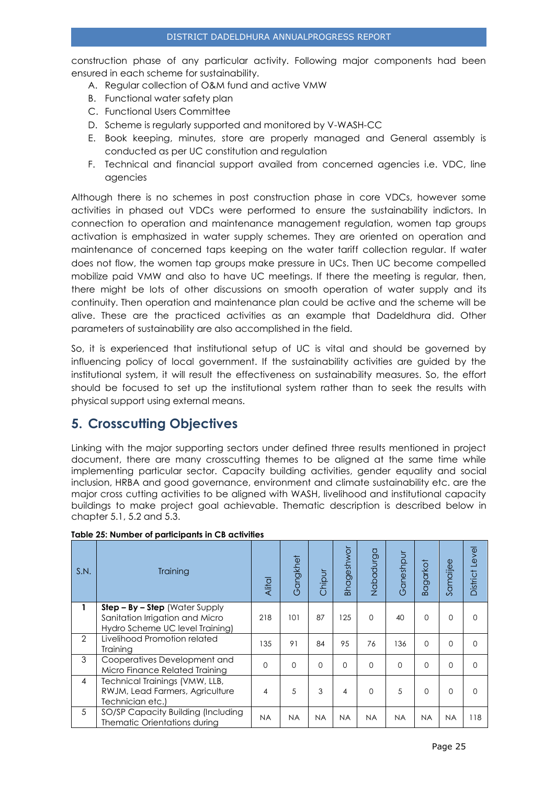construction phase of any particular activity. Following major components had been ensured in each scheme for sustainability.

- A. Regular collection of O&M fund and active VMW
- B. Functional water safety plan
- C. Functional Users Committee
- D. Scheme is regularly supported and monitored by V-WASH-CC
- E. Book keeping, minutes, store are properly managed and General assembly is conducted as per UC constitution and regulation
- F. Technical and financial support availed from concerned agencies i.e. VDC, line agencies

Although there is no schemes in post construction phase in core VDCs, however some activities in phased out VDCs were performed to ensure the sustainability indictors. In connection to operation and maintenance management regulation, women tap groups activation is emphasized in water supply schemes. They are oriented on operation and maintenance of concerned taps keeping on the water tariff collection regular. If water does not flow, the women tap groups make pressure in UCs. Then UC become compelled mobilize paid VMW and also to have UC meetings. If there the meeting is regular, then, there might be lots of other discussions on smooth operation of water supply and its continuity. Then operation and maintenance plan could be active and the scheme will be alive. These are the practiced activities as an example that Dadeldhura did. Other parameters of sustainability are also accomplished in the field.

So, it is experienced that institutional setup of UC is vital and should be governed by influencing policy of local government. If the sustainability activities are guided by the institutional system, it will result the effectiveness on sustainability measures. So, the effort should be focused to set up the institutional system rather than to seek the results with physical support using external means.

# <span id="page-25-0"></span>**5. Crosscutting Objectives**

Linking with the major supporting sectors under defined three results mentioned in project document, there are many crosscutting themes to be aligned at the same time while implementing particular sector. Capacity building activities, gender equality and social inclusion, HRBA and good governance, environment and climate sustainability etc. are the major cross cutting activities to be aligned with WASH, livelihood and institutional capacity buildings to make project goal achievable. Thematic description is described below in chapter 5.1, 5.2 and 5.3.

| S.N.           | Training                                                                                               | Alital    | Gangkhet  | Chipur    | <b>Bhageshwor</b> | Nabadurga | Ganeshpur | <b>Bagarkot</b> | Samaijee  | level<br>District I |
|----------------|--------------------------------------------------------------------------------------------------------|-----------|-----------|-----------|-------------------|-----------|-----------|-----------------|-----------|---------------------|
| 1              | $Step - By - Step$ (Water Supply<br>Sanitation Irrigation and Micro<br>Hydro Scheme UC level Training) | 218       | 101       | 87        | 125               | $\Omega$  | 40        | $\Omega$        | $\Omega$  | O                   |
| $\overline{2}$ | Livelihood Promotion related<br>Training                                                               | 135       | 91        | 84        | 95                | 76        | 136       | $\Omega$        | $\Omega$  | $\Omega$            |
| 3              | Cooperatives Development and<br>Micro Finance Related Training                                         | $\Omega$  | $\Omega$  | $\Omega$  | $\Omega$          | $\Omega$  | $\Omega$  | $\Omega$        | $\Omega$  | $\Omega$            |
| $\overline{4}$ | Technical Trainings (VMW, LLB,<br>RWJM, Lead Farmers, Agriculture<br>Technician etc.)                  | 4         | 5         | 3         | 4                 | $\Omega$  | 5         | $\Omega$        | 0         | ∩                   |
| 5              | SO/SP Capacity Building (Including<br>Thematic Orientations during                                     | <b>NA</b> | <b>NA</b> | <b>NA</b> | <b>NA</b>         | <b>NA</b> | <b>NA</b> | <b>NA</b>       | <b>NA</b> | 118                 |

#### **Table 25: Number of participants in CB activities**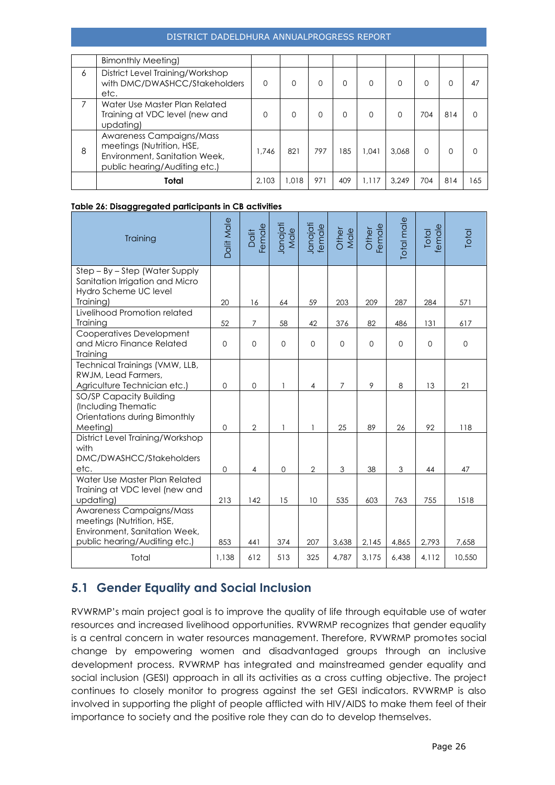#### DISTRICT DADELDHURA ANNUALPROGRESS REPORT

|   | <b>Bimonthly Meeting)</b>                                                                                               |          |       |     |     |          |       |          |     |     |
|---|-------------------------------------------------------------------------------------------------------------------------|----------|-------|-----|-----|----------|-------|----------|-----|-----|
| 6 | District Level Training/Workshop<br>with DMC/DWASHCC/Stakeholders<br>etc.                                               | $\Omega$ | 0     | 0   | Ω   | $\Omega$ | O     | 0        | 0   | 47  |
| 7 | Water Use Master Plan Related<br>Training at VDC level (new and<br>updating)                                            | $\Omega$ | 0     | O   | Ω   | $\Omega$ | O     | 704      | 814 | O   |
| 8 | Awareness Campaigns/Mass<br>meetings (Nutrition, HSE,<br>Environment, Sanitation Week,<br>public hearing/Auditing etc.) | 1.746    | 821   | 797 | 185 | 0.041    | 3.068 | $\Omega$ | 0   |     |
|   | Total                                                                                                                   | 2.103    | 1.018 | 971 | 409 | 1.117    | 3.249 | 704      | 814 | 165 |

#### **Table 26: Disaggregated participants in CB activities**

| Training                                                                                                                | <b>Dalit Male</b> | Dalit<br>emale | Janajati<br>Male | Janajati<br>female | Other<br>Male | Female<br>Other | Total male | female<br>Total | Total    |
|-------------------------------------------------------------------------------------------------------------------------|-------------------|----------------|------------------|--------------------|---------------|-----------------|------------|-----------------|----------|
| Step – By – Step (Water Supply<br>Sanitation Irrigation and Micro<br>Hydro Scheme UC level<br>Training)                 | 20                | 16             | 64               | 59                 | 203           | 209             | 287        | 284             | 571      |
| Livelihood Promotion related<br>Training                                                                                | 52                | $\overline{7}$ | 58               | 42                 | 376           | 82              | 486        | 131             | 617      |
| Cooperatives Development<br>and Micro Finance Related<br>Training                                                       | $\mathbf{O}$      | $\Omega$       | $\mathbf{O}$     | $\Omega$           | $\Omega$      | $\mathbf 0$     | $\Omega$   | $\mathbf 0$     | $\Omega$ |
| Technical Trainings (VMW, LLB,<br>RWJM, Lead Farmers,<br>Agriculture Technician etc.)                                   | $\mathbf 0$       | $\mathbf 0$    | 1                | 4                  | 7             | 9               | 8          | 13              | 21       |
| SO/SP Capacity Building<br>(Including Thematic<br>Orientations during Bimonthly<br>Meeting)                             | $\Omega$          | $\overline{2}$ | 1                |                    | 25            | 89              | 26         | 92              | 118      |
| District Level Training/Workshop<br>with<br>DMC/DWASHCC/Stakeholders<br>etc.                                            | $\mathbf{O}$      | $\overline{4}$ | $\mathbf 0$      | $\overline{2}$     | 3             | 38              | 3          | 44              | 47       |
| Water Use Master Plan Related<br>Training at VDC level (new and<br>updating)                                            | 213               | 142            | 15               | 10                 | 535           | 603             | 763        | 755             | 1518     |
| Awareness Campaigns/Mass<br>meetings (Nutrition, HSE,<br>Environment, Sanitation Week,<br>public hearing/Auditing etc.) | 853               | 441            | 374              | 207                | 3,638         | 2,145           | 4,865      | 2,793           | 7,658    |
| Total                                                                                                                   | 1,138             | 612            | 513              | 325                | 4,787         | 3,175           | 6,438      | 4,112           | 10,550   |

# <span id="page-26-0"></span>**5.1 Gender Equality and Social Inclusion**

RVWRMP's main project goal is to improve the quality of life through equitable use of water resources and increased livelihood opportunities. RVWRMP recognizes that gender equality is a central concern in water resources management. Therefore, RVWRMP promotes social change by empowering women and disadvantaged groups through an inclusive development process. RVWRMP has integrated and mainstreamed gender equality and social inclusion (GESI) approach in all its activities as a cross cutting objective. The project continues to closely monitor to progress against the set GESI indicators. RVWRMP is also involved in supporting the plight of people afflicted with HIV/AIDS to make them feel of their importance to society and the positive role they can do to develop themselves.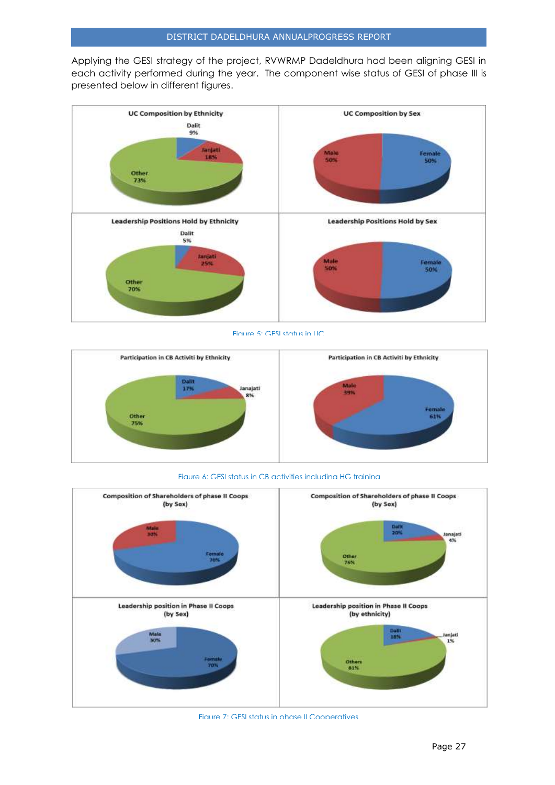Applying the GESI strategy of the project, RVWRMP Dadeldhura had been aligning GESI in each activity performed during the year. The component wise status of GESI of phase III is presented below in different figures.







Figure 6: GESI status in CB activities including HG training



Figure 7: GESI status in phase II Cooperatives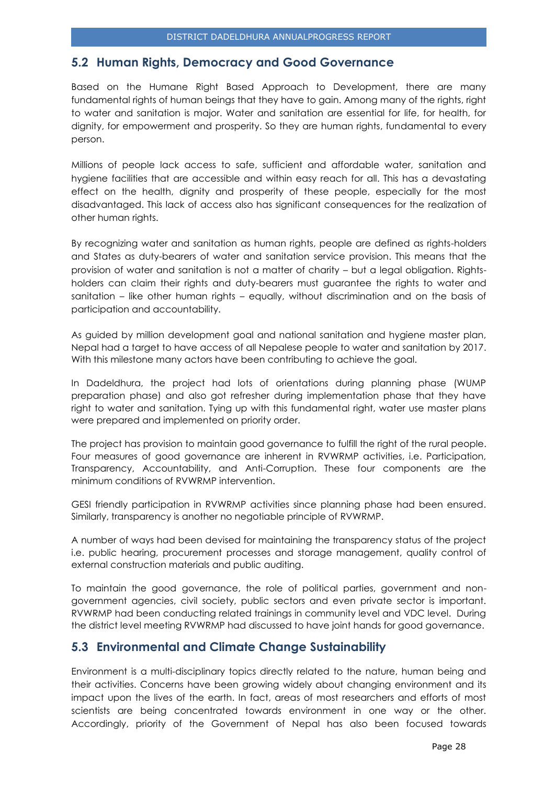# <span id="page-28-0"></span>**5.2 Human Rights, Democracy and Good Governance**

Based on the Humane Right Based Approach to Development, there are many fundamental rights of human beings that they have to gain. Among many of the rights, right to water and sanitation is major. Water and sanitation are essential for life, for health, for dignity, for empowerment and prosperity. So they are human rights, fundamental to every person.

Millions of people lack access to safe, sufficient and affordable water, sanitation and hygiene facilities that are accessible and within easy reach for all. This has a devastating effect on the health, dignity and prosperity of these people, especially for the most disadvantaged. This lack of access also has significant consequences for the realization of other human rights.

By recognizing water and sanitation as human rights, people are defined as rights-holders and States as duty-bearers of water and sanitation service provision. This means that the provision of water and sanitation is not a matter of charity – but a legal obligation. Rightsholders can claim their rights and duty-bearers must guarantee the rights to water and sanitation – like other human rights – equally, without discrimination and on the basis of participation and accountability.

As guided by million development goal and national sanitation and hygiene master plan, Nepal had a target to have access of all Nepalese people to water and sanitation by 2017. With this milestone many actors have been contributing to achieve the goal.

In Dadeldhura, the project had lots of orientations during planning phase (WUMP preparation phase) and also got refresher during implementation phase that they have right to water and sanitation. Tying up with this fundamental right, water use master plans were prepared and implemented on priority order.

The project has provision to maintain good governance to fulfill the right of the rural people. Four measures of good governance are inherent in RVWRMP activities, i.e. Participation, Transparency, Accountability, and Anti-Corruption. These four components are the minimum conditions of RVWRMP intervention.

GESI friendly participation in RVWRMP activities since planning phase had been ensured. Similarly, transparency is another no negotiable principle of RVWRMP.

A number of ways had been devised for maintaining the transparency status of the project i.e. public hearing, procurement processes and storage management, quality control of external construction materials and public auditing.

To maintain the good governance, the role of political parties, government and nongovernment agencies, civil society, public sectors and even private sector is important. RVWRMP had been conducting related trainings in community level and VDC level. During the district level meeting RVWRMP had discussed to have joint hands for good governance.

# <span id="page-28-1"></span>**5.3 Environmental and Climate Change Sustainability**

Environment is a multi-disciplinary topics directly related to the nature, human being and their activities. Concerns have been growing widely about changing environment and its impact upon the lives of the earth. In fact, areas of most researchers and efforts of most scientists are being concentrated towards environment in one way or the other. Accordingly, priority of the Government of Nepal has also been focused towards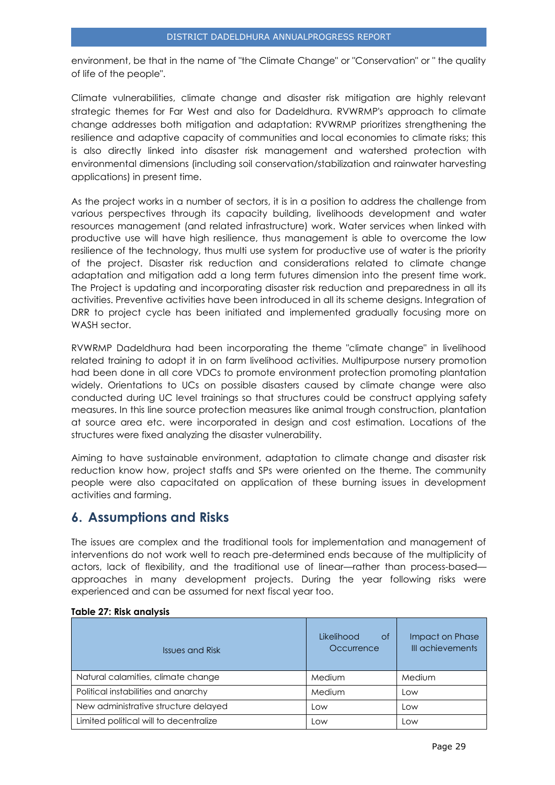environment, be that in the name of "the Climate Change" or "Conservation" or " the quality of life of the people".

Climate vulnerabilities, climate change and disaster risk mitigation are highly relevant strategic themes for Far West and also for Dadeldhura. RVWRMP's approach to climate change addresses both mitigation and adaptation: RVWRMP prioritizes strengthening the resilience and adaptive capacity of communities and local economies to climate risks; this is also directly linked into disaster risk management and watershed protection with environmental dimensions (including soil conservation/stabilization and rainwater harvesting applications) in present time.

As the project works in a number of sectors, it is in a position to address the challenge from various perspectives through its capacity building, livelihoods development and water resources management (and related infrastructure) work. Water services when linked with productive use will have high resilience, thus management is able to overcome the low resilience of the technology, thus multi use system for productive use of water is the priority of the project. Disaster risk reduction and considerations related to climate change adaptation and mitigation add a long term futures dimension into the present time work. The Project is updating and incorporating disaster risk reduction and preparedness in all its activities. Preventive activities have been introduced in all its scheme designs. Integration of DRR to project cycle has been initiated and implemented gradually focusing more on WASH sector.

RVWRMP Dadeldhura had been incorporating the theme "climate change" in livelihood related training to adopt it in on farm livelihood activities. Multipurpose nursery promotion had been done in all core VDCs to promote environment protection promoting plantation widely. Orientations to UCs on possible disasters caused by climate change were also conducted during UC level trainings so that structures could be construct applying safety measures. In this line source protection measures like animal trough construction, plantation at source area etc. were incorporated in design and cost estimation. Locations of the structures were fixed analyzing the disaster vulnerability.

Aiming to have sustainable environment, adaptation to climate change and disaster risk reduction know how, project staffs and SPs were oriented on the theme. The community people were also capacitated on application of these burning issues in development activities and farming.

# <span id="page-29-0"></span>**6. Assumptions and Risks**

The issues are complex and the traditional tools for implementation and management of interventions do not work well to reach pre-determined ends because of the multiplicity of actors, lack of flexibility, and the traditional use of linear—rather than process-based approaches in many development projects. During the year following risks were experienced and can be assumed for next fiscal year too.

| <b>Issues and Risk</b>                 | Likelihood<br>0f<br>Occurrence | Impact on Phase<br>III achievements |
|----------------------------------------|--------------------------------|-------------------------------------|
| Natural calamities, climate change     | Medium                         | Medium                              |
| Political instabilities and anarchy    | Medium                         | Low                                 |
| New administrative structure delayed   | Low                            | Low                                 |
| Limited political will to decentralize | LOW                            | LOW                                 |

#### **Table 27: Risk analysis**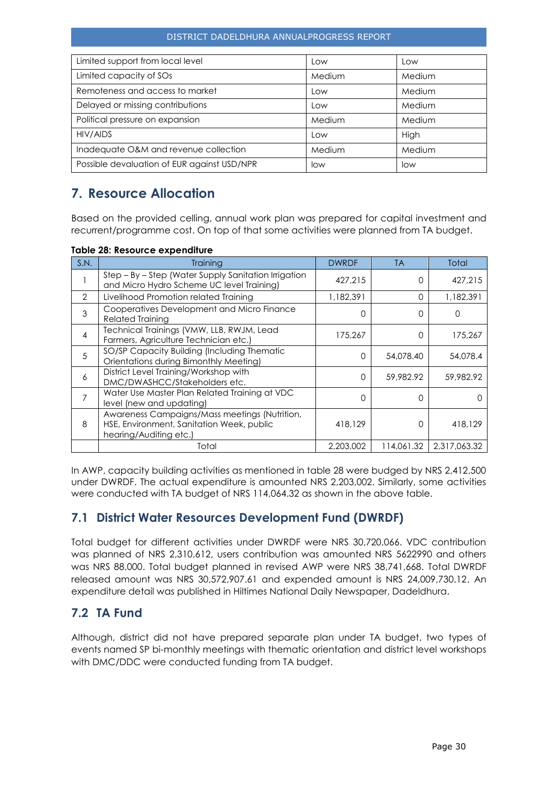#### DISTRICT DADELDHURA ANNUALPROGRESS REPORT

| Limited support from local level            | Low    | Low    |
|---------------------------------------------|--------|--------|
| Limited capacity of SOs                     | Medium | Medium |
| Remoteness and access to market             | Low    | Medium |
| Delayed or missing contributions            | Low    | Medium |
| Political pressure on expansion             | Medium | Medium |
| HIV/AIDS                                    | Low    | High   |
| Inadequate O&M and revenue collection       | Medium | Medium |
| Possible devaluation of EUR against USD/NPR | low    | low    |

# <span id="page-30-0"></span>**7. Resource Allocation**

Based on the provided celling, annual work plan was prepared for capital investment and recurrent/programme cost. On top of that some activities were planned from TA budget.

|  |  |  | Table 28: Resource expenditure |
|--|--|--|--------------------------------|
|--|--|--|--------------------------------|

| S.N.                     | Training                                                                                                             | <b>DWRDF</b> | <b>TA</b>  | Total        |
|--------------------------|----------------------------------------------------------------------------------------------------------------------|--------------|------------|--------------|
|                          | Step - By - Step (Water Supply Sanitation Irrigation<br>and Micro Hydro Scheme UC level Training)                    | 427.215      | O          | 427.215      |
| $\mathcal{P}$            | Livelihood Promotion related Training                                                                                | 1,182,391    | $\Omega$   | 1,182,391    |
| 3                        | Cooperatives Development and Micro Finance<br><b>Related Training</b>                                                | 0            | ∩          |              |
| $\overline{\mathcal{A}}$ | Technical Trainings (VMW, LLB, RWJM, Lead<br>Farmers, Agriculture Technician etc.)                                   | 175,267      | O          | 175,267      |
| $\overline{5}$           | SO/SP Capacity Building (Including Thematic<br>Orientations during Bimonthly Meeting)                                | $\Omega$     | 54,078.40  | 54,078.4     |
| 6                        | District Level Training/Workshop with<br>DMC/DWASHCC/Stakeholders etc.                                               | $\Omega$     | 59,982.92  | 59,982.92    |
| 7                        | Water Use Master Plan Related Training at VDC<br>level (new and updating)                                            | 0            | ∩          |              |
| 8                        | Awareness Campaigns/Mass meetings (Nutrition,<br>HSE, Environment, Sanitation Week, public<br>hearing/Auditing etc.) | 418,129      | ∩          | 418,129      |
|                          | Total                                                                                                                | 2,203,002    | 114,061.32 | 2.317.063.32 |

In AWP, capacity building activities as mentioned in table 28 were budged by NRS 2,412,500 under DWRDF. The actual expenditure is amounted NRS 2,203,002. Similarly, some activities were conducted with TA budget of NRS 114,064.32 as shown in the above table.

# <span id="page-30-1"></span>**7.1 District Water Resources Development Fund (DWRDF)**

Total budget for different activities under DWRDF were NRS 30,720,066. VDC contribution was planned of NRS 2,310,612, users contribution was amounted NRS 5622990 and others was NRS 88,000. Total budget planned in revised AWP were NRS 38,741,668. Total DWRDF released amount was NRS 30,572,907.61 and expended amount is NRS 24,009,730.12. An expenditure detail was published in Hiltimes National Daily Newspaper, Dadeldhura.

# <span id="page-30-2"></span>**7.2 TA Fund**

Although, district did not have prepared separate plan under TA budget, two types of events named SP bi-monthly meetings with thematic orientation and district level workshops with DMC/DDC were conducted funding from TA budget.